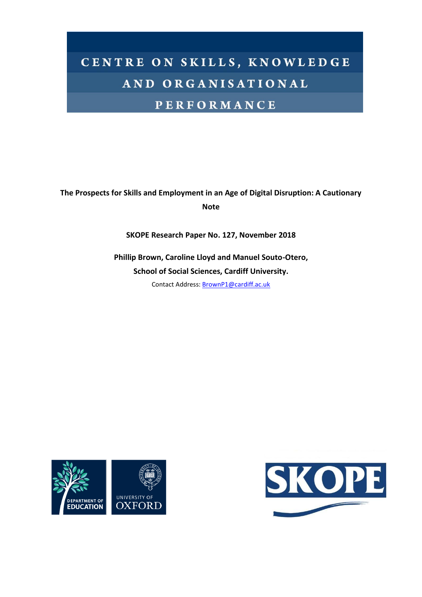# CENTRE ON SKILLS, KNOWLEDGE AND ORGANISATIONAL

# **PERFORMANCE**

# **The Prospects for Skills and Employment in an Age of Digital Disruption: A Cautionary Note**

**SKOPE Research Paper No. 127, November 2018**

**Phillip Brown, Caroline Lloyd and Manuel Souto-Otero, School of Social Sciences, Cardiff University.**

Contact Address: [BrownP1@cardiff.ac.uk](mailto:BrownP1@cardiff.ac.uk)



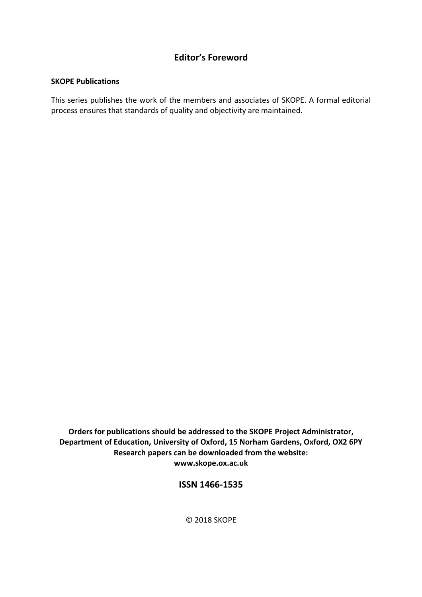# **Editor's Foreword**

# **SKOPE Publications**

This series publishes the work of the members and associates of SKOPE. A formal editorial process ensures that standards of quality and objectivity are maintained.

**Orders for publications should be addressed to the SKOPE Project Administrator, Department of Education, University of Oxford, 15 Norham Gardens, Oxford, OX2 6PY Research papers can be downloaded from the website: www.skope.ox.ac.uk**

**ISSN 1466-1535**

© 2018 SKOPE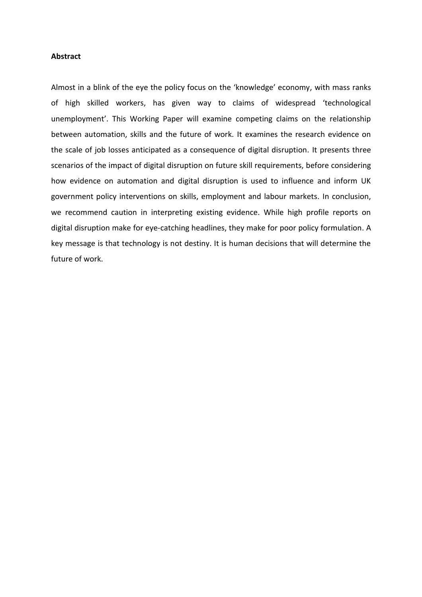#### **Abstract**

Almost in a blink of the eye the policy focus on the 'knowledge' economy, with mass ranks of high skilled workers, has given way to claims of widespread 'technological unemployment'. This Working Paper will examine competing claims on the relationship between automation, skills and the future of work. It examines the research evidence on the scale of job losses anticipated as a consequence of digital disruption. It presents three scenarios of the impact of digital disruption on future skill requirements, before considering how evidence on automation and digital disruption is used to influence and inform UK government policy interventions on skills, employment and labour markets. In conclusion, we recommend caution in interpreting existing evidence. While high profile reports on digital disruption make for eye-catching headlines, they make for poor policy formulation. A key message is that technology is not destiny. It is human decisions that will determine the future of work.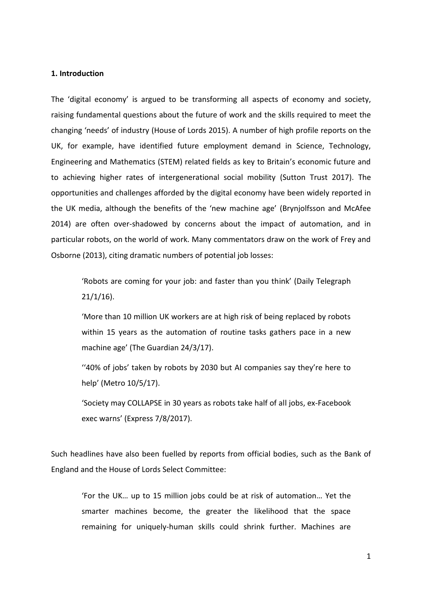# **1. Introduction**

The 'digital economy' is argued to be transforming all aspects of economy and society, raising fundamental questions about the future of work and the skills required to meet the changing 'needs' of industry (House of Lords 2015). A number of high profile reports on the UK, for example, have identified future employment demand in Science, Technology, Engineering and Mathematics (STEM) related fields as key to Britain's economic future and to achieving higher rates of intergenerational social mobility (Sutton Trust 2017). The opportunities and challenges afforded by the digital economy have been widely reported in the UK media, although the benefits of the 'new machine age' (Brynjolfsson and McAfee 2014) are often over-shadowed by concerns about the impact of automation, and in particular robots, on the world of work. Many commentators draw on the work of Frey and Osborne (2013), citing dramatic numbers of potential job losses:

'Robots are coming for your job: and faster than you think' (Daily Telegraph 21/1/16).

'More than 10 million UK workers are at high risk of being replaced by robots within 15 years as the automation of routine tasks gathers pace in a new machine age' (The Guardian 24/3/17).

''40% of jobs' taken by robots by 2030 but AI companies say they're here to help' (Metro 10/5/17).

'Society may COLLAPSE in 30 years as robots take half of all jobs, ex-Facebook exec warns' (Express 7/8/2017).

Such headlines have also been fuelled by reports from official bodies, such as the Bank of England and the House of Lords Select Committee:

'For the UK… up to 15 million jobs could be at risk of automation… Yet the smarter machines become, the greater the likelihood that the space remaining for uniquely-human skills could shrink further. Machines are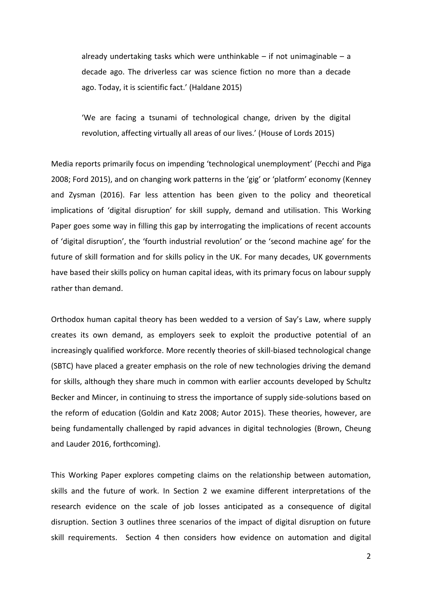already undertaking tasks which were unthinkable  $-$  if not unimaginable  $-$  a decade ago. The driverless car was science fiction no more than a decade ago. Today, it is scientific fact.' (Haldane 2015)

'We are facing a tsunami of technological change, driven by the digital revolution, affecting virtually all areas of our lives.' (House of Lords 2015)

Media reports primarily focus on impending 'technological unemployment' (Pecchi and Piga 2008; Ford 2015), and on changing work patterns in the 'gig' or 'platform' economy (Kenney and Zysman (2016). Far less attention has been given to the policy and theoretical implications of 'digital disruption' for skill supply, demand and utilisation. This Working Paper goes some way in filling this gap by interrogating the implications of recent accounts of 'digital disruption', the 'fourth industrial revolution' or the 'second machine age' for the future of skill formation and for skills policy in the UK. For many decades, UK governments have based their skills policy on human capital ideas, with its primary focus on labour supply rather than demand.

Orthodox human capital theory has been wedded to a version of Say's Law, where supply creates its own demand, as employers seek to exploit the productive potential of an increasingly qualified workforce. More recently theories of skill-biased technological change (SBTC) have placed a greater emphasis on the role of new technologies driving the demand for skills, although they share much in common with earlier accounts developed by Schultz Becker and Mincer, in continuing to stress the importance of supply side-solutions based on the reform of education (Goldin and Katz 2008; Autor 2015). These theories, however, are being fundamentally challenged by rapid advances in digital technologies (Brown, Cheung and Lauder 2016, forthcoming).

This Working Paper explores competing claims on the relationship between automation, skills and the future of work. In Section 2 we examine different interpretations of the research evidence on the scale of job losses anticipated as a consequence of digital disruption. Section 3 outlines three scenarios of the impact of digital disruption on future skill requirements. Section 4 then considers how evidence on automation and digital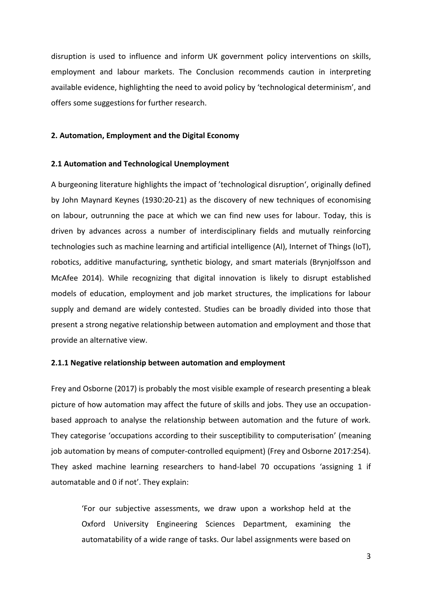disruption is used to influence and inform UK government policy interventions on skills, employment and labour markets. The Conclusion recommends caution in interpreting available evidence, highlighting the need to avoid policy by 'technological determinism', and offers some suggestions for further research.

## **2. Automation, Employment and the Digital Economy**

# **2.1 Automation and Technological Unemployment**

A burgeoning literature highlights the impact of 'technological disruption', originally defined by John Maynard Keynes (1930:20-21) as the discovery of new techniques of economising on labour, outrunning the pace at which we can find new uses for labour. Today, this is driven by advances across a number of interdisciplinary fields and mutually reinforcing technologies such as machine learning and artificial intelligence (AI), Internet of Things (IoT), robotics, additive manufacturing, synthetic biology, and smart materials (Brynjolfsson and McAfee 2014). While recognizing that digital innovation is likely to disrupt established models of education, employment and job market structures, the implications for labour supply and demand are widely contested. Studies can be broadly divided into those that present a strong negative relationship between automation and employment and those that provide an alternative view.

## **2.1.1 Negative relationship between automation and employment**

Frey and Osborne (2017) is probably the most visible example of research presenting a bleak picture of how automation may affect the future of skills and jobs. They use an occupationbased approach to analyse the relationship between automation and the future of work. They categorise 'occupations according to their susceptibility to computerisation' (meaning job automation by means of computer-controlled equipment) (Frey and Osborne 2017:254). They asked machine learning researchers to hand-label 70 occupations 'assigning 1 if automatable and 0 if not'. They explain:

'For our subjective assessments, we draw upon a workshop held at the Oxford University Engineering Sciences Department, examining the automatability of a wide range of tasks. Our label assignments were based on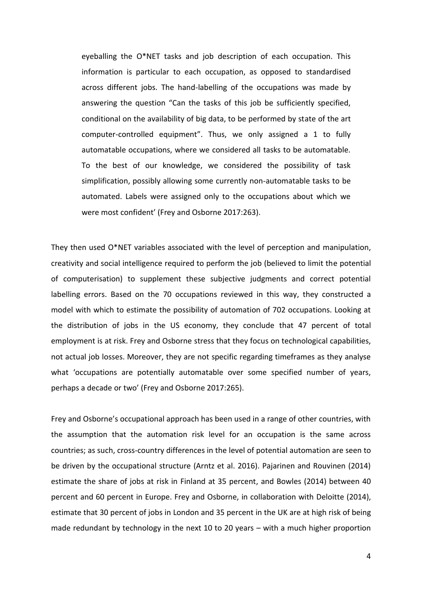eyeballing the O\*NET tasks and job description of each occupation. This information is particular to each occupation, as opposed to standardised across different jobs. The hand-labelling of the occupations was made by answering the question "Can the tasks of this job be sufficiently specified, conditional on the availability of big data, to be performed by state of the art computer-controlled equipment". Thus, we only assigned a 1 to fully automatable occupations, where we considered all tasks to be automatable. To the best of our knowledge, we considered the possibility of task simplification, possibly allowing some currently non-automatable tasks to be automated. Labels were assigned only to the occupations about which we were most confident' (Frey and Osborne 2017:263).

They then used O\*NET variables associated with the level of perception and manipulation, creativity and social intelligence required to perform the job (believed to limit the potential of computerisation) to supplement these subjective judgments and correct potential labelling errors. Based on the 70 occupations reviewed in this way, they constructed a model with which to estimate the possibility of automation of 702 occupations. Looking at the distribution of jobs in the US economy, they conclude that 47 percent of total employment is at risk. Frey and Osborne stress that they focus on technological capabilities, not actual job losses. Moreover, they are not specific regarding timeframes as they analyse what 'occupations are potentially automatable over some specified number of years, perhaps a decade or two' (Frey and Osborne 2017:265).

Frey and Osborne's occupational approach has been used in a range of other countries, with the assumption that the automation risk level for an occupation is the same across countries; as such, cross-country differences in the level of potential automation are seen to be driven by the occupational structure (Arntz et al. 2016). Pajarinen and Rouvinen (2014) estimate the share of jobs at risk in Finland at 35 percent, and Bowles (2014) between 40 percent and 60 percent in Europe. Frey and Osborne, in collaboration with Deloitte (2014), estimate that 30 percent of jobs in London and 35 percent in the UK are at high risk of being made redundant by technology in the next 10 to 20 years – with a much higher proportion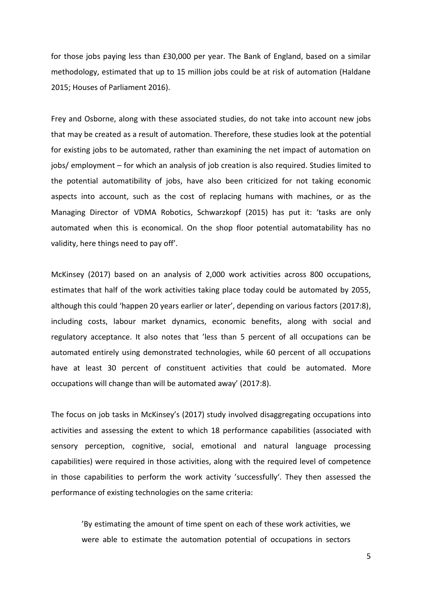for those jobs paying less than £30,000 per year. The Bank of England, based on a similar methodology, estimated that up to 15 million jobs could be at risk of automation (Haldane 2015; Houses of Parliament 2016).

Frey and Osborne, along with these associated studies, do not take into account new jobs that may be created as a result of automation. Therefore, these studies look at the potential for existing jobs to be automated, rather than examining the net impact of automation on jobs/ employment – for which an analysis of job creation is also required. Studies limited to the potential automatibility of jobs, have also been criticized for not taking economic aspects into account, such as the cost of replacing humans with machines, or as the Managing Director of VDMA Robotics, Schwarzkopf (2015) has put it: 'tasks are only automated when this is economical. On the shop floor potential automatability has no validity, here things need to pay off'.

McKinsey (2017) based on an analysis of 2,000 work activities across 800 occupations, estimates that half of the work activities taking place today could be automated by 2055, although this could 'happen 20 years earlier or later', depending on various factors (2017:8), including costs, labour market dynamics, economic benefits, along with social and regulatory acceptance. It also notes that 'less than 5 percent of all occupations can be automated entirely using demonstrated technologies, while 60 percent of all occupations have at least 30 percent of constituent activities that could be automated. More occupations will change than will be automated away' (2017:8).

The focus on job tasks in McKinsey's (2017) study involved disaggregating occupations into activities and assessing the extent to which 18 performance capabilities (associated with sensory perception, cognitive, social, emotional and natural language processing capabilities) were required in those activities, along with the required level of competence in those capabilities to perform the work activity 'successfully'. They then assessed the performance of existing technologies on the same criteria:

'By estimating the amount of time spent on each of these work activities, we were able to estimate the automation potential of occupations in sectors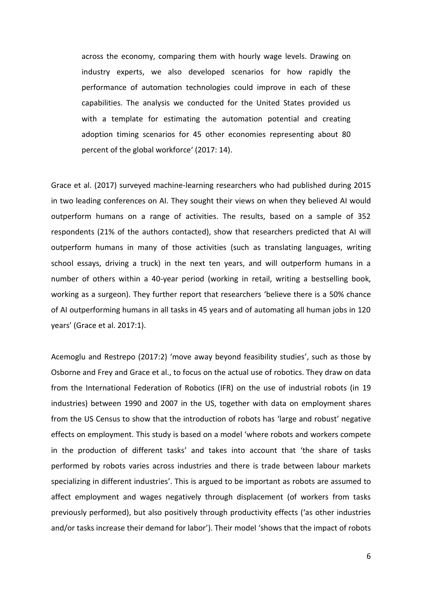across the economy, comparing them with hourly wage levels. Drawing on industry experts, we also developed scenarios for how rapidly the performance of automation technologies could improve in each of these capabilities. The analysis we conducted for the United States provided us with a template for estimating the automation potential and creating adoption timing scenarios for 45 other economies representing about 80 percent of the global workforce' (2017: 14).

Grace et al. (2017) surveyed machine-learning researchers who had published during 2015 in two leading conferences on AI. They sought their views on when they believed AI would outperform humans on a range of activities. The results, based on a sample of 352 respondents (21% of the authors contacted), show that researchers predicted that AI will outperform humans in many of those activities (such as translating languages, writing school essays, driving a truck) in the next ten years, and will outperform humans in a number of others within a 40-year period (working in retail, writing a bestselling book, working as a surgeon). They further report that researchers 'believe there is a 50% chance of AI outperforming humans in all tasks in 45 years and of automating all human jobs in 120 years' (Grace et al. 2017:1).

Acemoglu and Restrepo (2017:2) 'move away beyond feasibility studies', such as those by Osborne and Frey and Grace et al., to focus on the actual use of robotics. They draw on data from the International Federation of Robotics (IFR) on the use of industrial robots (in 19 industries) between 1990 and 2007 in the US, together with data on employment shares from the US Census to show that the introduction of robots has 'large and robust' negative effects on employment. This study is based on a model 'where robots and workers compete in the production of different tasks' and takes into account that 'the share of tasks performed by robots varies across industries and there is trade between labour markets specializing in different industries'. This is argued to be important as robots are assumed to affect employment and wages negatively through displacement (of workers from tasks previously performed), but also positively through productivity effects ('as other industries and/or tasks increase their demand for labor'). Their model 'shows that the impact of robots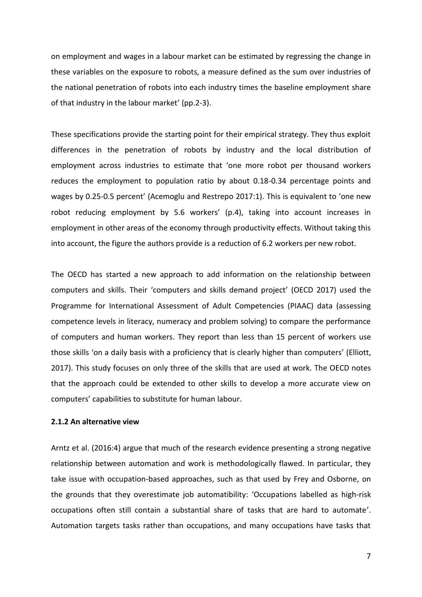on employment and wages in a labour market can be estimated by regressing the change in these variables on the exposure to robots, a measure defined as the sum over industries of the national penetration of robots into each industry times the baseline employment share of that industry in the labour market' (pp.2-3).

These specifications provide the starting point for their empirical strategy. They thus exploit differences in the penetration of robots by industry and the local distribution of employment across industries to estimate that 'one more robot per thousand workers reduces the employment to population ratio by about 0.18-0.34 percentage points and wages by 0.25-0.5 percent' (Acemoglu and Restrepo 2017:1). This is equivalent to 'one new robot reducing employment by 5.6 workers' (p.4), taking into account increases in employment in other areas of the economy through productivity effects. Without taking this into account, the figure the authors provide is a reduction of 6.2 workers per new robot.

The OECD has started a new approach to add information on the relationship between computers and skills. Their 'computers and skills demand project' (OECD 2017) used the Programme for International Assessment of Adult Competencies (PIAAC) data (assessing competence levels in literacy, numeracy and problem solving) to compare the performance of computers and human workers. They report than less than 15 percent of workers use those skills 'on a daily basis with a proficiency that is clearly higher than computers' (Elliott, 2017). This study focuses on only three of the skills that are used at work. The OECD notes that the approach could be extended to other skills to develop a more accurate view on computers' capabilities to substitute for human labour.

# **2.1.2 An alternative view**

Arntz et al. (2016:4) argue that much of the research evidence presenting a strong negative relationship between automation and work is methodologically flawed. In particular, they take issue with occupation-based approaches, such as that used by Frey and Osborne, on the grounds that they overestimate job automatibility: 'Occupations labelled as high-risk occupations often still contain a substantial share of tasks that are hard to automate'. Automation targets tasks rather than occupations, and many occupations have tasks that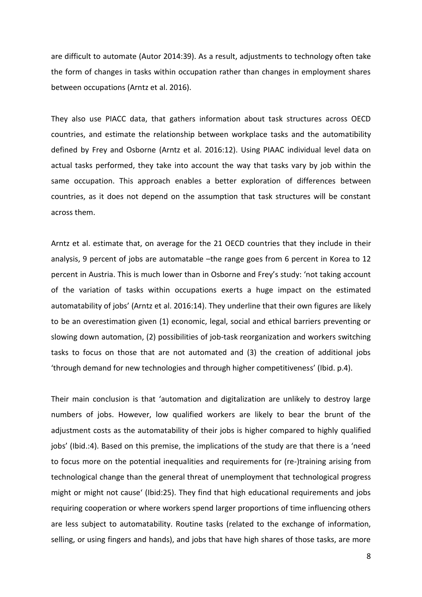are difficult to automate (Autor 2014:39). As a result, adjustments to technology often take the form of changes in tasks within occupation rather than changes in employment shares between occupations (Arntz et al. 2016).

They also use PIACC data, that gathers information about task structures across OECD countries, and estimate the relationship between workplace tasks and the automatibility defined by Frey and Osborne (Arntz et al. 2016:12). Using PIAAC individual level data on actual tasks performed, they take into account the way that tasks vary by job within the same occupation. This approach enables a better exploration of differences between countries, as it does not depend on the assumption that task structures will be constant across them.

Arntz et al. estimate that, on average for the 21 OECD countries that they include in their analysis, 9 percent of jobs are automatable –the range goes from 6 percent in Korea to 12 percent in Austria. This is much lower than in Osborne and Frey's study: 'not taking account of the variation of tasks within occupations exerts a huge impact on the estimated automatability of jobs' (Arntz et al. 2016:14). They underline that their own figures are likely to be an overestimation given (1) economic, legal, social and ethical barriers preventing or slowing down automation, (2) possibilities of job-task reorganization and workers switching tasks to focus on those that are not automated and (3) the creation of additional jobs 'through demand for new technologies and through higher competitiveness' (Ibid. p.4).

Their main conclusion is that 'automation and digitalization are unlikely to destroy large numbers of jobs. However, low qualified workers are likely to bear the brunt of the adjustment costs as the automatability of their jobs is higher compared to highly qualified jobs' (Ibid.:4). Based on this premise, the implications of the study are that there is a 'need to focus more on the potential inequalities and requirements for (re-)training arising from technological change than the general threat of unemployment that technological progress might or might not cause' (Ibid:25). They find that high educational requirements and jobs requiring cooperation or where workers spend larger proportions of time influencing others are less subject to automatability. Routine tasks (related to the exchange of information, selling, or using fingers and hands), and jobs that have high shares of those tasks, are more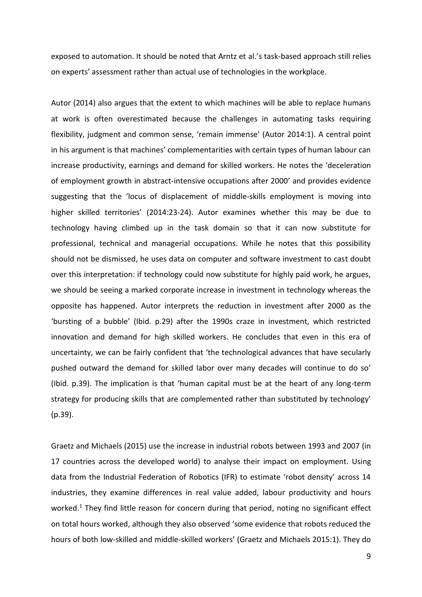exposed to automation. It should be noted that Arntz et al.'s task-based approach still relies on experts' assessment rather than actual use of technologies in the workplace.

Autor (2014) also argues that the extent to which machines will be able to replace humans at work is often overestimated because the challenges in automating tasks requiring flexibility, judgment and common sense, 'remain immense' (Autor 2014:1). A central point in his argument is that machines' complementarities with certain types of human labour can increase productivity, earnings and demand for skilled workers. He notes the 'deceleration of employment growth in abstract-intensive occupations after 2000' and provides evidence suggesting that the 'locus of displacement of middle-skills employment is moving into higher skilled territories' (2014:23-24). Autor examines whether this may be due to technology having climbed up in the task domain so that it can now substitute for professional, technical and managerial occupations. While he notes that this possibility should not be dismissed, he uses data on computer and software investment to cast doubt over this interpretation: if technology could now substitute for highly paid work, he argues, we should be seeing a marked corporate increase in investment in technology whereas the opposite has happened. Autor interprets the reduction in investment after 2000 as the 'bursting of a bubble' (Ibid. p.29) after the 1990s craze in investment, which restricted innovation and demand for high skilled workers. He concludes that even in this era of uncertainty, we can be fairly confident that 'the technological advances that have secularly pushed outward the demand for skilled labor over many decades will continue to do so' (Ibid. p.39). The implication is that 'human capital must be at the heart of any long-term strategy for producing skills that are complemented rather than substituted by technology' (p.39).

Graetz and Michaels (2015) use the increase in industrial robots between 1993 and 2007 (in 17 countries across the developed world) to analyse their impact on employment. Using data from the Industrial Federation of Robotics (IFR) to estimate 'robot density' across 14 industries, they examine differences in real value added, labour productivity and hours worked.<sup>1</sup> They find little reason for concern during that period, noting no significant effect on total hours worked, although they also observed 'some evidence that robots reduced the hours of both low-skilled and middle-skilled workers' (Graetz and Michaels 2015:1). They do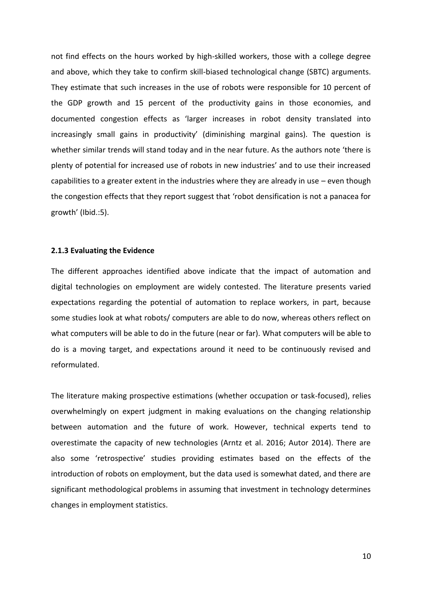not find effects on the hours worked by high-skilled workers, those with a college degree and above, which they take to confirm skill-biased technological change (SBTC) arguments. They estimate that such increases in the use of robots were responsible for 10 percent of the GDP growth and 15 percent of the productivity gains in those economies, and documented congestion effects as 'larger increases in robot density translated into increasingly small gains in productivity' (diminishing marginal gains). The question is whether similar trends will stand today and in the near future. As the authors note 'there is plenty of potential for increased use of robots in new industries' and to use their increased capabilities to a greater extent in the industries where they are already in use – even though the congestion effects that they report suggest that 'robot densification is not a panacea for growth' (Ibid.:5).

#### **2.1.3 Evaluating the Evidence**

The different approaches identified above indicate that the impact of automation and digital technologies on employment are widely contested. The literature presents varied expectations regarding the potential of automation to replace workers, in part, because some studies look at what robots/ computers are able to do now, whereas others reflect on what computers will be able to do in the future (near or far). What computers will be able to do is a moving target, and expectations around it need to be continuously revised and reformulated.

The literature making prospective estimations (whether occupation or task-focused), relies overwhelmingly on expert judgment in making evaluations on the changing relationship between automation and the future of work. However, technical experts tend to overestimate the capacity of new technologies (Arntz et al. 2016; Autor 2014). There are also some 'retrospective' studies providing estimates based on the effects of the introduction of robots on employment, but the data used is somewhat dated, and there are significant methodological problems in assuming that investment in technology determines changes in employment statistics.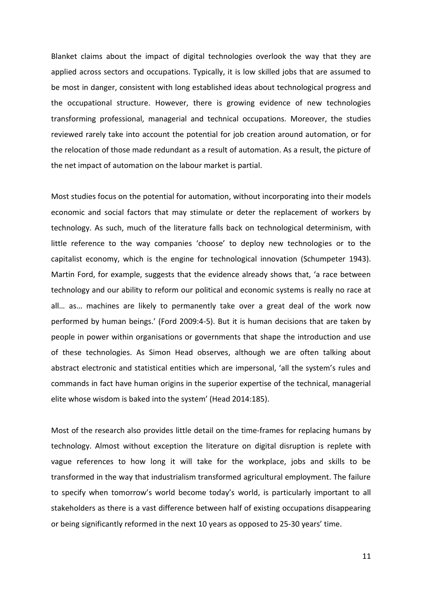Blanket claims about the impact of digital technologies overlook the way that they are applied across sectors and occupations. Typically, it is low skilled jobs that are assumed to be most in danger, consistent with long established ideas about technological progress and the occupational structure. However, there is growing evidence of new technologies transforming professional, managerial and technical occupations. Moreover, the studies reviewed rarely take into account the potential for job creation around automation, or for the relocation of those made redundant as a result of automation. As a result, the picture of the net impact of automation on the labour market is partial.

Most studies focus on the potential for automation, without incorporating into their models economic and social factors that may stimulate or deter the replacement of workers by technology. As such, much of the literature falls back on technological determinism, with little reference to the way companies 'choose' to deploy new technologies or to the capitalist economy, which is the engine for technological innovation (Schumpeter 1943). Martin Ford, for example, suggests that the evidence already shows that, 'a race between technology and our ability to reform our political and economic systems is really no race at all… as… machines are likely to permanently take over a great deal of the work now performed by human beings.' (Ford 2009:4-5). But it is human decisions that are taken by people in power within organisations or governments that shape the introduction and use of these technologies. As Simon Head observes, although we are often talking about abstract electronic and statistical entities which are impersonal, 'all the system's rules and commands in fact have human origins in the superior expertise of the technical, managerial elite whose wisdom is baked into the system' (Head 2014:185).

Most of the research also provides little detail on the time-frames for replacing humans by technology. Almost without exception the literature on digital disruption is replete with vague references to how long it will take for the workplace, jobs and skills to be transformed in the way that industrialism transformed agricultural employment. The failure to specify when tomorrow's world become today's world, is particularly important to all stakeholders as there is a vast difference between half of existing occupations disappearing or being significantly reformed in the next 10 years as opposed to 25-30 years' time.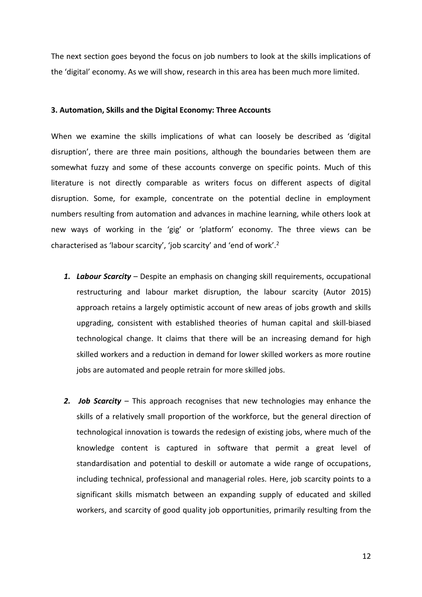The next section goes beyond the focus on job numbers to look at the skills implications of the 'digital' economy. As we will show, research in this area has been much more limited.

#### **3. Automation, Skills and the Digital Economy: Three Accounts**

When we examine the skills implications of what can loosely be described as 'digital disruption', there are three main positions, although the boundaries between them are somewhat fuzzy and some of these accounts converge on specific points. Much of this literature is not directly comparable as writers focus on different aspects of digital disruption. Some, for example, concentrate on the potential decline in employment numbers resulting from automation and advances in machine learning, while others look at new ways of working in the 'gig' or 'platform' economy. The three views can be characterised as 'labour scarcity', 'job scarcity' and 'end of work'.<sup>2</sup>

- *1. Labour Scarcity*  Despite an emphasis on changing skill requirements, occupational restructuring and labour market disruption, the labour scarcity (Autor 2015) approach retains a largely optimistic account of new areas of jobs growth and skills upgrading, consistent with established theories of human capital and skill-biased technological change. It claims that there will be an increasing demand for high skilled workers and a reduction in demand for lower skilled workers as more routine jobs are automated and people retrain for more skilled jobs.
- *2. Job Scarcity* This approach recognises that new technologies may enhance the skills of a relatively small proportion of the workforce, but the general direction of technological innovation is towards the redesign of existing jobs, where much of the knowledge content is captured in software that permit a great level of standardisation and potential to deskill or automate a wide range of occupations, including technical, professional and managerial roles. Here, job scarcity points to a significant skills mismatch between an expanding supply of educated and skilled workers, and scarcity of good quality job opportunities, primarily resulting from the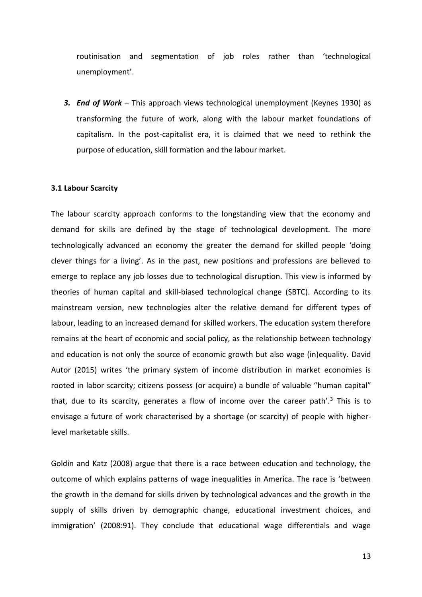routinisation and segmentation of job roles rather than 'technological unemployment'.

*3. End of Work* – This approach views technological unemployment (Keynes 1930) as transforming the future of work, along with the labour market foundations of capitalism. In the post-capitalist era, it is claimed that we need to rethink the purpose of education, skill formation and the labour market.

#### **3.1 Labour Scarcity**

The labour scarcity approach conforms to the longstanding view that the economy and demand for skills are defined by the stage of technological development. The more technologically advanced an economy the greater the demand for skilled people 'doing clever things for a living'. As in the past, new positions and professions are believed to emerge to replace any job losses due to technological disruption. This view is informed by theories of human capital and skill-biased technological change (SBTC). According to its mainstream version, new technologies alter the relative demand for different types of labour, leading to an increased demand for skilled workers. The education system therefore remains at the heart of economic and social policy, as the relationship between technology and education is not only the source of economic growth but also wage (in)equality. David Autor (2015) writes 'the primary system of income distribution in market economies is rooted in labor scarcity; citizens possess (or acquire) a bundle of valuable "human capital" that, due to its scarcity, generates a flow of income over the career path'.<sup>3</sup> This is to envisage a future of work characterised by a shortage (or scarcity) of people with higherlevel marketable skills.

Goldin and Katz (2008) argue that there is a race between education and technology, the outcome of which explains patterns of wage inequalities in America. The race is 'between the growth in the demand for skills driven by technological advances and the growth in the supply of skills driven by demographic change, educational investment choices, and immigration' (2008:91). They conclude that educational wage differentials and wage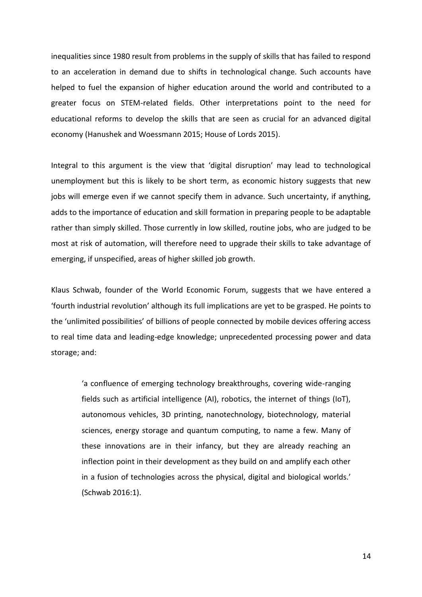inequalities since 1980 result from problems in the supply of skills that has failed to respond to an acceleration in demand due to shifts in technological change. Such accounts have helped to fuel the expansion of higher education around the world and contributed to a greater focus on STEM-related fields. Other interpretations point to the need for educational reforms to develop the skills that are seen as crucial for an advanced digital economy (Hanushek and Woessmann 2015; House of Lords 2015).

Integral to this argument is the view that 'digital disruption' may lead to technological unemployment but this is likely to be short term, as economic history suggests that new jobs will emerge even if we cannot specify them in advance. Such uncertainty, if anything, adds to the importance of education and skill formation in preparing people to be adaptable rather than simply skilled. Those currently in low skilled, routine jobs, who are judged to be most at risk of automation, will therefore need to upgrade their skills to take advantage of emerging, if unspecified, areas of higher skilled job growth.

Klaus Schwab, founder of the World Economic Forum, suggests that we have entered a 'fourth industrial revolution' although its full implications are yet to be grasped. He points to the 'unlimited possibilities' of billions of people connected by mobile devices offering access to real time data and leading-edge knowledge; unprecedented processing power and data storage; and:

'a confluence of emerging technology breakthroughs, covering wide-ranging fields such as artificial intelligence (AI), robotics, the internet of things (IoT), autonomous vehicles, 3D printing, nanotechnology, biotechnology, material sciences, energy storage and quantum computing, to name a few. Many of these innovations are in their infancy, but they are already reaching an inflection point in their development as they build on and amplify each other in a fusion of technologies across the physical, digital and biological worlds.' (Schwab 2016:1).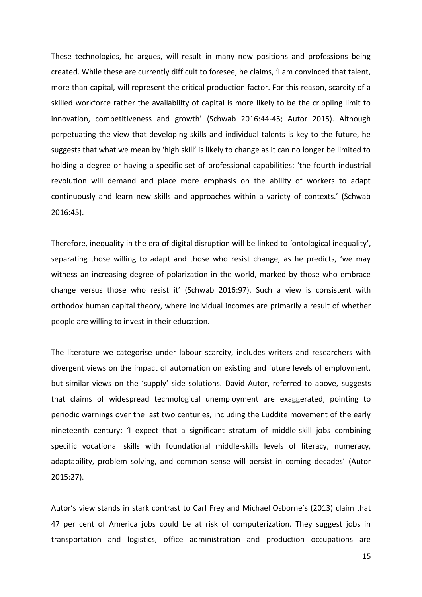These technologies, he argues, will result in many new positions and professions being created. While these are currently difficult to foresee, he claims, 'I am convinced that talent, more than capital, will represent the critical production factor. For this reason, scarcity of a skilled workforce rather the availability of capital is more likely to be the crippling limit to innovation, competitiveness and growth' (Schwab 2016:44-45; Autor 2015). Although perpetuating the view that developing skills and individual talents is key to the future, he suggests that what we mean by 'high skill' is likely to change as it can no longer be limited to holding a degree or having a specific set of professional capabilities: 'the fourth industrial revolution will demand and place more emphasis on the ability of workers to adapt continuously and learn new skills and approaches within a variety of contexts.' (Schwab 2016:45).

Therefore, inequality in the era of digital disruption will be linked to 'ontological inequality', separating those willing to adapt and those who resist change, as he predicts, 'we may witness an increasing degree of polarization in the world, marked by those who embrace change versus those who resist it' (Schwab 2016:97). Such a view is consistent with orthodox human capital theory, where individual incomes are primarily a result of whether people are willing to invest in their education.

The literature we categorise under labour scarcity, includes writers and researchers with divergent views on the impact of automation on existing and future levels of employment, but similar views on the 'supply' side solutions. David Autor, referred to above, suggests that claims of widespread technological unemployment are exaggerated, pointing to periodic warnings over the last two centuries, including the Luddite movement of the early nineteenth century: 'I expect that a significant stratum of middle-skill jobs combining specific vocational skills with foundational middle-skills levels of literacy, numeracy, adaptability, problem solving, and common sense will persist in coming decades' (Autor 2015:27).

Autor's view stands in stark contrast to Carl Frey and Michael Osborne's (2013) claim that 47 per cent of America jobs could be at risk of computerization. They suggest jobs in transportation and logistics, office administration and production occupations are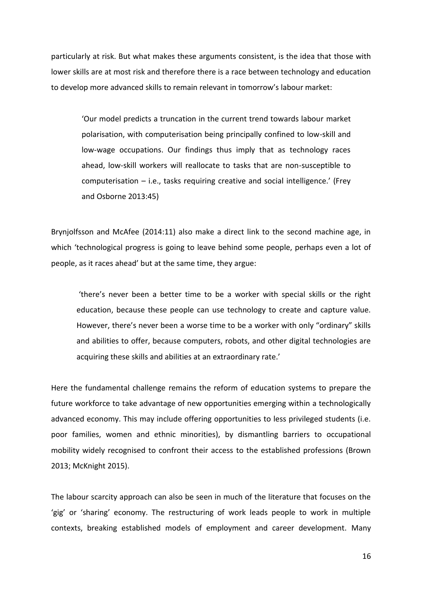particularly at risk. But what makes these arguments consistent, is the idea that those with lower skills are at most risk and therefore there is a race between technology and education to develop more advanced skills to remain relevant in tomorrow's labour market:

'Our model predicts a truncation in the current trend towards labour market polarisation, with computerisation being principally confined to low-skill and low-wage occupations. Our findings thus imply that as technology races ahead, low-skill workers will reallocate to tasks that are non-susceptible to computerisation – i.e., tasks requiring creative and social intelligence.' (Frey and Osborne 2013:45)

Brynjolfsson and McAfee (2014:11) also make a direct link to the second machine age, in which 'technological progress is going to leave behind some people, perhaps even a lot of people, as it races ahead' but at the same time, they argue:

'there's never been a better time to be a worker with special skills or the right education, because these people can use technology to create and capture value. However, there's never been a worse time to be a worker with only "ordinary" skills and abilities to offer, because computers, robots, and other digital technologies are acquiring these skills and abilities at an extraordinary rate.'

Here the fundamental challenge remains the reform of education systems to prepare the future workforce to take advantage of new opportunities emerging within a technologically advanced economy. This may include offering opportunities to less privileged students (i.e. poor families, women and ethnic minorities), by dismantling barriers to occupational mobility widely recognised to confront their access to the established professions (Brown 2013; McKnight 2015).

The labour scarcity approach can also be seen in much of the literature that focuses on the 'gig' or 'sharing' economy. The restructuring of work leads people to work in multiple contexts, breaking established models of employment and career development. Many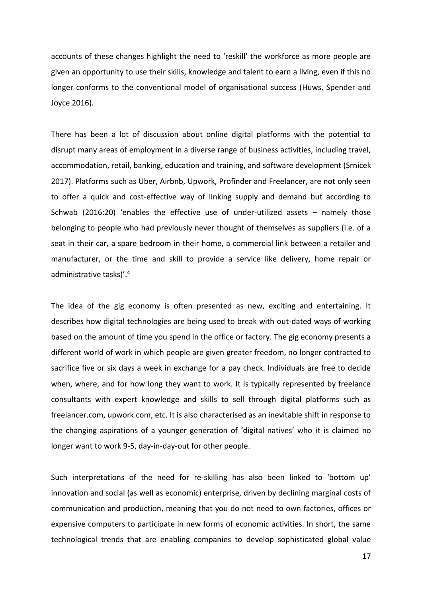accounts of these changes highlight the need to 'reskill' the workforce as more people are given an opportunity to use their skills, knowledge and talent to earn a living, even if this no longer conforms to the conventional model of organisational success (Huws, Spender and Joyce 2016).

There has been a lot of discussion about online digital platforms with the potential to disrupt many areas of employment in a diverse range of business activities, including travel, accommodation, retail, banking, education and training, and software development (Srnicek 2017). Platforms such as Uber, Airbnb, Upwork, Profinder and Freelancer, are not only seen to offer a quick and cost-effective way of linking supply and demand but according to Schwab (2016:20) 'enables the effective use of under-utilized assets – namely those belonging to people who had previously never thought of themselves as suppliers (i.e. of a seat in their car, a spare bedroom in their home, a commercial link between a retailer and manufacturer, or the time and skill to provide a service like delivery, home repair or administrative tasks)'. 4

The idea of the gig economy is often presented as new, exciting and entertaining. It describes how digital technologies are being used to break with out-dated ways of working based on the amount of time you spend in the office or factory. The gig economy presents a different world of work in which people are given greater freedom, no longer contracted to sacrifice five or six days a week in exchange for a pay check. Individuals are free to decide when, where, and for how long they want to work. It is typically represented by freelance consultants with expert knowledge and skills to sell through digital platforms such as freelancer.com, upwork.com, etc. It is also characterised as an inevitable shift in response to the changing aspirations of a younger generation of 'digital natives' who it is claimed no longer want to work 9-5, day-in-day-out for other people.

Such interpretations of the need for re-skilling has also been linked to 'bottom up' innovation and social (as well as economic) enterprise, driven by declining marginal costs of communication and production, meaning that you do not need to own factories, offices or expensive computers to participate in new forms of economic activities. In short, the same technological trends that are enabling companies to develop sophisticated global value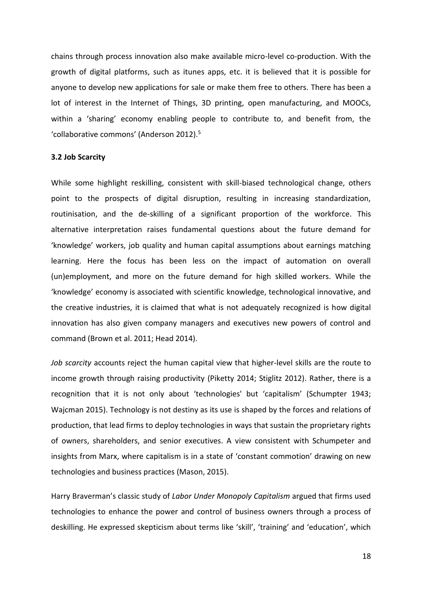chains through process innovation also make available micro-level co-production. With the growth of digital platforms, such as itunes apps, etc. it is believed that it is possible for anyone to develop new applications for sale or make them free to others. There has been a lot of interest in the Internet of Things, 3D printing, open manufacturing, and MOOCs, within a 'sharing' economy enabling people to contribute to, and benefit from, the 'collaborative commons' (Anderson 2012).<sup>5</sup>

#### **3.2 Job Scarcity**

While some highlight reskilling, consistent with skill-biased technological change, others point to the prospects of digital disruption, resulting in increasing standardization, routinisation, and the de-skilling of a significant proportion of the workforce. This alternative interpretation raises fundamental questions about the future demand for 'knowledge' workers, job quality and human capital assumptions about earnings matching learning. Here the focus has been less on the impact of automation on overall (un)employment, and more on the future demand for high skilled workers. While the 'knowledge' economy is associated with scientific knowledge, technological innovative, and the creative industries, it is claimed that what is not adequately recognized is how digital innovation has also given company managers and executives new powers of control and command (Brown et al. 2011; Head 2014).

*Job scarcity* accounts reject the human capital view that higher-level skills are the route to income growth through raising productivity (Piketty 2014; Stiglitz 2012). Rather, there is a recognition that it is not only about 'technologies' but 'capitalism' (Schumpter 1943; Wajcman 2015). Technology is not destiny as its use is shaped by the forces and relations of production, that lead firms to deploy technologies in ways that sustain the proprietary rights of owners, shareholders, and senior executives. A view consistent with Schumpeter and insights from Marx, where capitalism is in a state of 'constant commotion' drawing on new technologies and business practices (Mason, 2015).

Harry Braverman's classic study of *Labor Under Monopoly Capitalism* argued that firms used technologies to enhance the power and control of business owners through a process of deskilling. He expressed skepticism about terms like 'skill', 'training' and 'education', which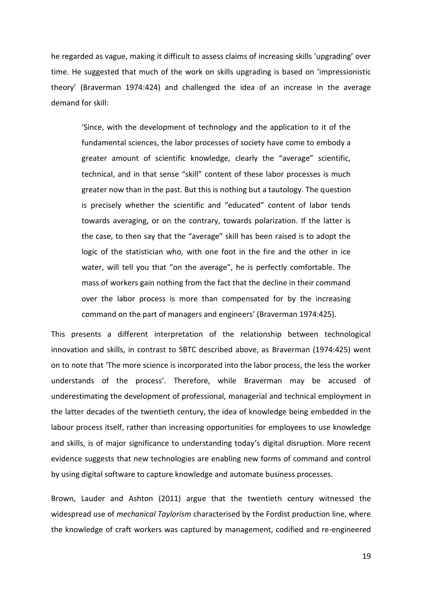he regarded as vague, making it difficult to assess claims of increasing skills 'upgrading' over time. He suggested that much of the work on skills upgrading is based on 'impressionistic theory' (Braverman 1974:424) and challenged the idea of an increase in the average demand for skill:

'Since, with the development of technology and the application to it of the fundamental sciences, the labor processes of society have come to embody a greater amount of scientific knowledge, clearly the "average" scientific, technical, and in that sense "skill" content of these labor processes is much greater now than in the past. But this is nothing but a tautology. The question is precisely whether the scientific and "educated" content of labor tends towards averaging, or on the contrary, towards polarization. If the latter is the case, to then say that the "average" skill has been raised is to adopt the logic of the statistician who, with one foot in the fire and the other in ice water, will tell you that "on the average", he is perfectly comfortable. The mass of workers gain nothing from the fact that the decline in their command over the labor process is more than compensated for by the increasing command on the part of managers and engineers' (Braverman 1974:425).

This presents a different interpretation of the relationship between technological innovation and skills, in contrast to SBTC described above, as Braverman (1974:425) went on to note that 'The more science is incorporated into the labor process, the less the worker understands of the process'. Therefore, while Braverman may be accused of underestimating the development of professional, managerial and technical employment in the latter decades of the twentieth century, the idea of knowledge being embedded in the labour process itself, rather than increasing opportunities for employees to use knowledge and skills, is of major significance to understanding today's digital disruption. More recent evidence suggests that new technologies are enabling new forms of command and control by using digital software to capture knowledge and automate business processes.

Brown, Lauder and Ashton (2011) argue that the twentieth century witnessed the widespread use of *mechanical Taylorism* characterised by the Fordist production line, where the knowledge of craft workers was captured by management, codified and re-engineered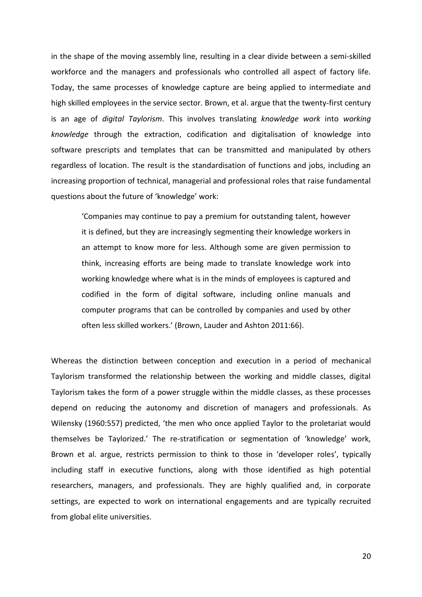in the shape of the moving assembly line, resulting in a clear divide between a semi-skilled workforce and the managers and professionals who controlled all aspect of factory life. Today, the same processes of knowledge capture are being applied to intermediate and high skilled employees in the service sector. Brown, et al. argue that the twenty-first century is an age of *digital Taylorism*. This involves translating *knowledge work* into *working knowledge* through the extraction, codification and digitalisation of knowledge into software prescripts and templates that can be transmitted and manipulated by others regardless of location. The result is the standardisation of functions and jobs, including an increasing proportion of technical, managerial and professional roles that raise fundamental questions about the future of 'knowledge' work:

'Companies may continue to pay a premium for outstanding talent, however it is defined, but they are increasingly segmenting their knowledge workers in an attempt to know more for less. Although some are given permission to think, increasing efforts are being made to translate knowledge work into working knowledge where what is in the minds of employees is captured and codified in the form of digital software, including online manuals and computer programs that can be controlled by companies and used by other often less skilled workers.' (Brown, Lauder and Ashton 2011:66).

Whereas the distinction between conception and execution in a period of mechanical Taylorism transformed the relationship between the working and middle classes, digital Taylorism takes the form of a power struggle within the middle classes, as these processes depend on reducing the autonomy and discretion of managers and professionals. As Wilensky (1960:557) predicted, 'the men who once applied Taylor to the proletariat would themselves be Taylorized.' The re-stratification or segmentation of 'knowledge' work, Brown et al. argue, restricts permission to think to those in 'developer roles', typically including staff in executive functions, along with those identified as high potential researchers, managers, and professionals. They are highly qualified and, in corporate settings, are expected to work on international engagements and are typically recruited from global elite universities.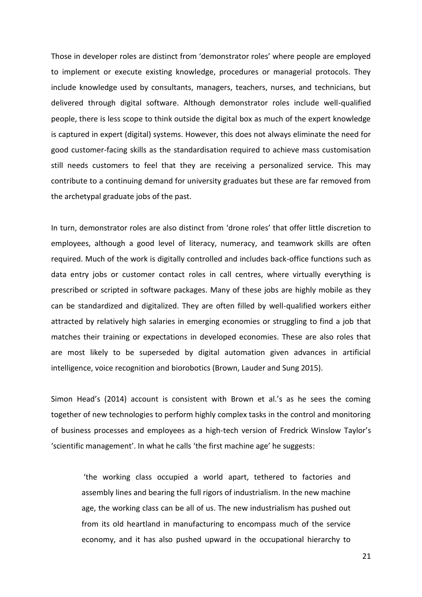Those in developer roles are distinct from 'demonstrator roles' where people are employed to implement or execute existing knowledge, procedures or managerial protocols. They include knowledge used by consultants, managers, teachers, nurses, and technicians, but delivered through digital software. Although demonstrator roles include well-qualified people, there is less scope to think outside the digital box as much of the expert knowledge is captured in expert (digital) systems. However, this does not always eliminate the need for good customer-facing skills as the standardisation required to achieve mass customisation still needs customers to feel that they are receiving a personalized service. This may contribute to a continuing demand for university graduates but these are far removed from the archetypal graduate jobs of the past.

In turn, demonstrator roles are also distinct from 'drone roles' that offer little discretion to employees, although a good level of literacy, numeracy, and teamwork skills are often required. Much of the work is digitally controlled and includes back-office functions such as data entry jobs or customer contact roles in call centres, where virtually everything is prescribed or scripted in software packages. Many of these jobs are highly mobile as they can be standardized and digitalized. They are often filled by well-qualified workers either attracted by relatively high salaries in emerging economies or struggling to find a job that matches their training or expectations in developed economies. These are also roles that are most likely to be superseded by digital automation given advances in artificial intelligence, voice recognition and biorobotics (Brown, Lauder and Sung 2015).

Simon Head's (2014) account is consistent with Brown et al.'s as he sees the coming together of new technologies to perform highly complex tasks in the control and monitoring of business processes and employees as a high-tech version of Fredrick Winslow Taylor's 'scientific management'. In what he calls 'the first machine age' he suggests:

'the working class occupied a world apart, tethered to factories and assembly lines and bearing the full rigors of industrialism. In the new machine age, the working class can be all of us. The new industrialism has pushed out from its old heartland in manufacturing to encompass much of the service economy, and it has also pushed upward in the occupational hierarchy to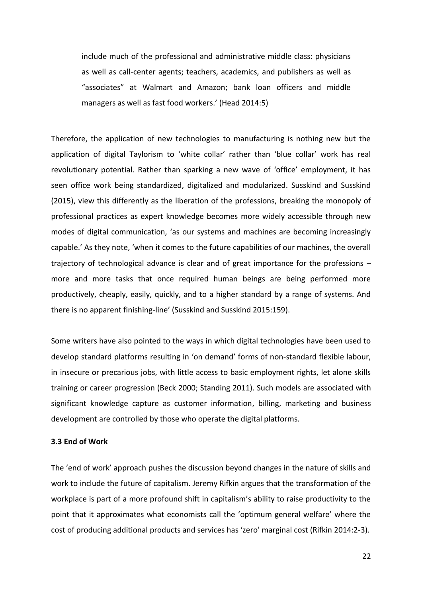include much of the professional and administrative middle class: physicians as well as call-center agents; teachers, academics, and publishers as well as "associates" at Walmart and Amazon; bank loan officers and middle managers as well as fast food workers.' (Head 2014:5)

Therefore, the application of new technologies to manufacturing is nothing new but the application of digital Taylorism to 'white collar' rather than 'blue collar' work has real revolutionary potential. Rather than sparking a new wave of 'office' employment, it has seen office work being standardized, digitalized and modularized. Susskind and Susskind (2015), view this differently as the liberation of the professions, breaking the monopoly of professional practices as expert knowledge becomes more widely accessible through new modes of digital communication, 'as our systems and machines are becoming increasingly capable.' As they note, 'when it comes to the future capabilities of our machines, the overall trajectory of technological advance is clear and of great importance for the professions – more and more tasks that once required human beings are being performed more productively, cheaply, easily, quickly, and to a higher standard by a range of systems. And there is no apparent finishing-line' (Susskind and Susskind 2015:159).

Some writers have also pointed to the ways in which digital technologies have been used to develop standard platforms resulting in 'on demand' forms of non-standard flexible labour, in insecure or precarious jobs, with little access to basic employment rights, let alone skills training or career progression (Beck 2000; Standing 2011). Such models are associated with significant knowledge capture as customer information, billing, marketing and business development are controlled by those who operate the digital platforms.

## **3.3 End of Work**

The 'end of work' approach pushes the discussion beyond changes in the nature of skills and work to include the future of capitalism. Jeremy Rifkin argues that the transformation of the workplace is part of a more profound shift in capitalism's ability to raise productivity to the point that it approximates what economists call the 'optimum general welfare' where the cost of producing additional products and services has 'zero' marginal cost (Rifkin 2014:2-3).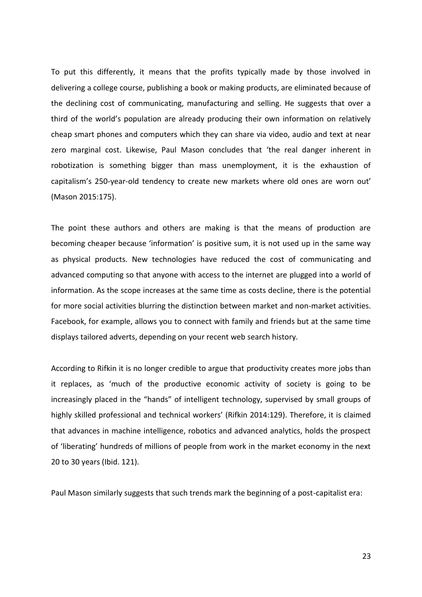To put this differently, it means that the profits typically made by those involved in delivering a college course, publishing a book or making products, are eliminated because of the declining cost of communicating, manufacturing and selling. He suggests that over a third of the world's population are already producing their own information on relatively cheap smart phones and computers which they can share via video, audio and text at near zero marginal cost. Likewise, Paul Mason concludes that 'the real danger inherent in robotization is something bigger than mass unemployment, it is the exhaustion of capitalism's 250-year-old tendency to create new markets where old ones are worn out' (Mason 2015:175).

The point these authors and others are making is that the means of production are becoming cheaper because 'information' is positive sum, it is not used up in the same way as physical products. New technologies have reduced the cost of communicating and advanced computing so that anyone with access to the internet are plugged into a world of information. As the scope increases at the same time as costs decline, there is the potential for more social activities blurring the distinction between market and non-market activities. Facebook, for example, allows you to connect with family and friends but at the same time displays tailored adverts, depending on your recent web search history.

According to Rifkin it is no longer credible to argue that productivity creates more jobs than it replaces, as 'much of the productive economic activity of society is going to be increasingly placed in the "hands" of intelligent technology, supervised by small groups of highly skilled professional and technical workers' (Rifkin 2014:129). Therefore, it is claimed that advances in machine intelligence, robotics and advanced analytics, holds the prospect of 'liberating' hundreds of millions of people from work in the market economy in the next 20 to 30 years (Ibid. 121).

Paul Mason similarly suggests that such trends mark the beginning of a post-capitalist era: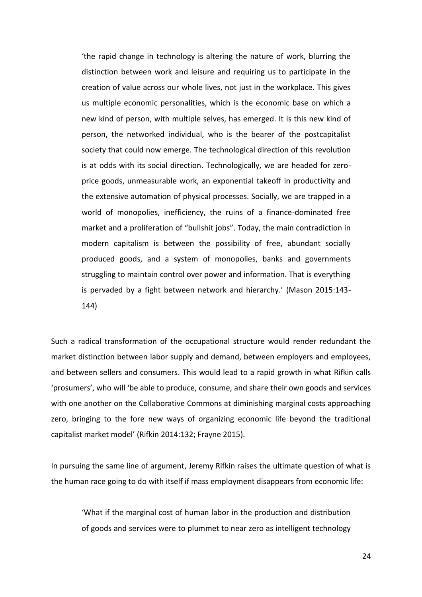'the rapid change in technology is altering the nature of work, blurring the distinction between work and leisure and requiring us to participate in the creation of value across our whole lives, not just in the workplace. This gives us multiple economic personalities, which is the economic base on which a new kind of person, with multiple selves, has emerged. It is this new kind of person, the networked individual, who is the bearer of the postcapitalist society that could now emerge. The technological direction of this revolution is at odds with its social direction. Technologically, we are headed for zeroprice goods, unmeasurable work, an exponential takeoff in productivity and the extensive automation of physical processes. Socially, we are trapped in a world of monopolies, inefficiency, the ruins of a finance-dominated free market and a proliferation of "bullshit jobs". Today, the main contradiction in modern capitalism is between the possibility of free, abundant socially produced goods, and a system of monopolies, banks and governments struggling to maintain control over power and information. That is everything is pervaded by a fight between network and hierarchy.' (Mason 2015:143- 144)

Such a radical transformation of the occupational structure would render redundant the market distinction between labor supply and demand, between employers and employees, and between sellers and consumers. This would lead to a rapid growth in what Rifkin calls 'prosumers', who will 'be able to produce, consume, and share their own goods and services with one another on the Collaborative Commons at diminishing marginal costs approaching zero, bringing to the fore new ways of organizing economic life beyond the traditional capitalist market model' (Rifkin 2014:132; Frayne 2015).

In pursuing the same line of argument, Jeremy Rifkin raises the ultimate question of what is the human race going to do with itself if mass employment disappears from economic life:

'What if the marginal cost of human labor in the production and distribution of goods and services were to plummet to near zero as intelligent technology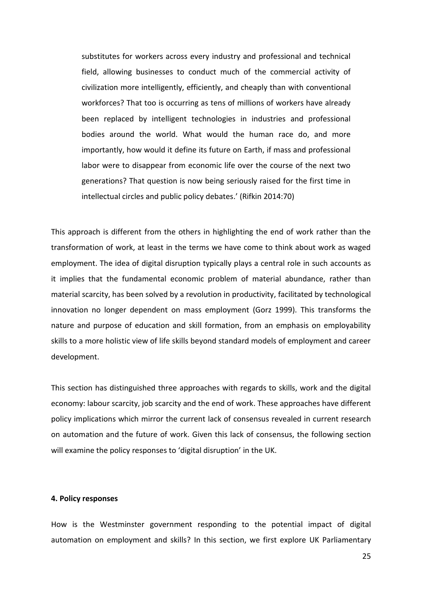substitutes for workers across every industry and professional and technical field, allowing businesses to conduct much of the commercial activity of civilization more intelligently, efficiently, and cheaply than with conventional workforces? That too is occurring as tens of millions of workers have already been replaced by intelligent technologies in industries and professional bodies around the world. What would the human race do, and more importantly, how would it define its future on Earth, if mass and professional labor were to disappear from economic life over the course of the next two generations? That question is now being seriously raised for the first time in intellectual circles and public policy debates.' (Rifkin 2014:70)

This approach is different from the others in highlighting the end of work rather than the transformation of work, at least in the terms we have come to think about work as waged employment. The idea of digital disruption typically plays a central role in such accounts as it implies that the fundamental economic problem of material abundance, rather than material scarcity, has been solved by a revolution in productivity, facilitated by technological innovation no longer dependent on mass employment (Gorz 1999). This transforms the nature and purpose of education and skill formation, from an emphasis on employability skills to a more holistic view of life skills beyond standard models of employment and career development.

This section has distinguished three approaches with regards to skills, work and the digital economy: labour scarcity, job scarcity and the end of work. These approaches have different policy implications which mirror the current lack of consensus revealed in current research on automation and the future of work. Given this lack of consensus, the following section will examine the policy responses to 'digital disruption' in the UK.

#### **4. Policy responses**

How is the Westminster government responding to the potential impact of digital automation on employment and skills? In this section, we first explore UK Parliamentary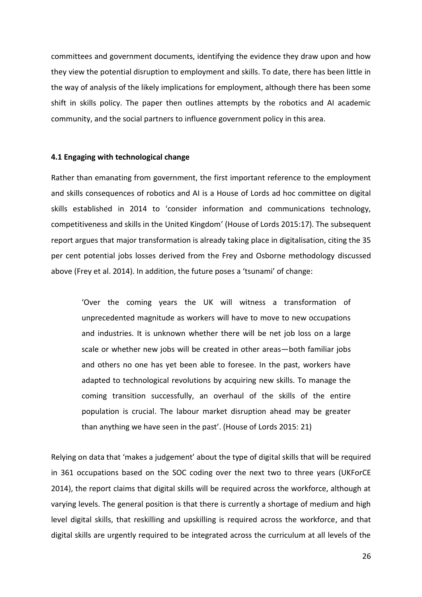committees and government documents, identifying the evidence they draw upon and how they view the potential disruption to employment and skills. To date, there has been little in the way of analysis of the likely implications for employment, although there has been some shift in skills policy. The paper then outlines attempts by the robotics and AI academic community, and the social partners to influence government policy in this area.

#### **4.1 Engaging with technological change**

Rather than emanating from government, the first important reference to the employment and skills consequences of robotics and AI is a House of Lords ad hoc committee on digital skills established in 2014 to 'consider information and communications technology, competitiveness and skills in the United Kingdom' (House of Lords 2015:17). The subsequent report argues that major transformation is already taking place in digitalisation, citing the 35 per cent potential jobs losses derived from the Frey and Osborne methodology discussed above (Frey et al. 2014). In addition, the future poses a 'tsunami' of change:

'Over the coming years the UK will witness a transformation of unprecedented magnitude as workers will have to move to new occupations and industries. It is unknown whether there will be net job loss on a large scale or whether new jobs will be created in other areas—both familiar jobs and others no one has yet been able to foresee. In the past, workers have adapted to technological revolutions by acquiring new skills. To manage the coming transition successfully, an overhaul of the skills of the entire population is crucial. The labour market disruption ahead may be greater than anything we have seen in the past'. (House of Lords 2015: 21)

Relying on data that 'makes a judgement' about the type of digital skills that will be required in 361 occupations based on the SOC coding over the next two to three years (UKForCE 2014), the report claims that digital skills will be required across the workforce, although at varying levels. The general position is that there is currently a shortage of medium and high level digital skills, that reskilling and upskilling is required across the workforce, and that digital skills are urgently required to be integrated across the curriculum at all levels of the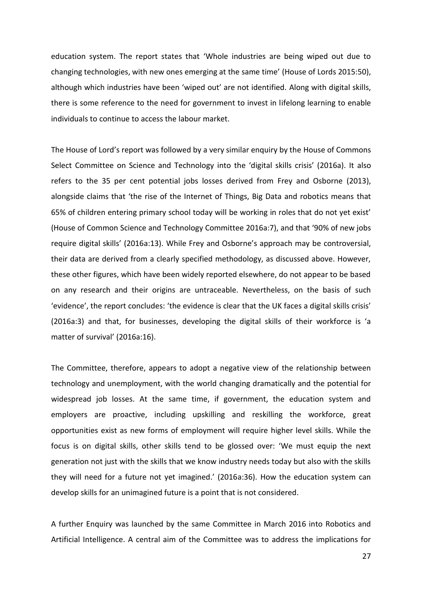education system. The report states that 'Whole industries are being wiped out due to changing technologies, with new ones emerging at the same time' (House of Lords 2015:50), although which industries have been 'wiped out' are not identified. Along with digital skills, there is some reference to the need for government to invest in lifelong learning to enable individuals to continue to access the labour market.

The House of Lord's report was followed by a very similar enquiry by the House of Commons Select Committee on Science and Technology into the 'digital skills crisis' (2016a). It also refers to the 35 per cent potential jobs losses derived from Frey and Osborne (2013), alongside claims that 'the rise of the Internet of Things, Big Data and robotics means that 65% of children entering primary school today will be working in roles that do not yet exist' (House of Common Science and Technology Committee 2016a:7), and that '90% of new jobs require digital skills' (2016a:13). While Frey and Osborne's approach may be controversial, their data are derived from a clearly specified methodology, as discussed above. However, these other figures, which have been widely reported elsewhere, do not appear to be based on any research and their origins are untraceable. Nevertheless, on the basis of such 'evidence', the report concludes: 'the evidence is clear that the UK faces a digital skills crisis' (2016a:3) and that, for businesses, developing the digital skills of their workforce is 'a matter of survival' (2016a:16).

The Committee, therefore, appears to adopt a negative view of the relationship between technology and unemployment, with the world changing dramatically and the potential for widespread job losses. At the same time, if government, the education system and employers are proactive, including upskilling and reskilling the workforce, great opportunities exist as new forms of employment will require higher level skills. While the focus is on digital skills, other skills tend to be glossed over: 'We must equip the next generation not just with the skills that we know industry needs today but also with the skills they will need for a future not yet imagined.' (2016a:36). How the education system can develop skills for an unimagined future is a point that is not considered.

A further Enquiry was launched by the same Committee in March 2016 into Robotics and Artificial Intelligence. A central aim of the Committee was to address the implications for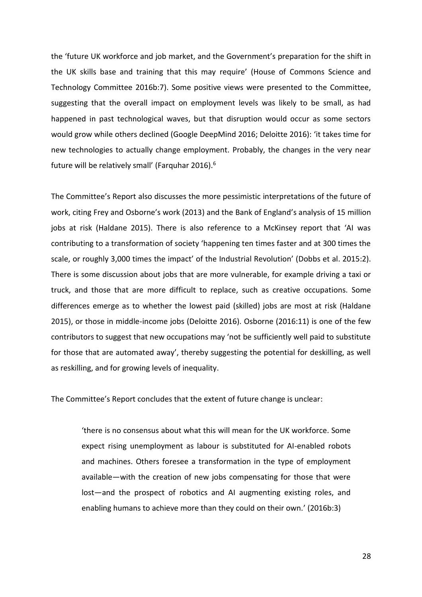the 'future UK workforce and job market, and the Government's preparation for the shift in the UK skills base and training that this may require' (House of Commons Science and Technology Committee 2016b:7). Some positive views were presented to the Committee, suggesting that the overall impact on employment levels was likely to be small, as had happened in past technological waves, but that disruption would occur as some sectors would grow while others declined (Google DeepMind 2016; Deloitte 2016): 'it takes time for new technologies to actually change employment. Probably, the changes in the very near future will be relatively small' (Farquhar 2016).<sup>6</sup>

The Committee's Report also discusses the more pessimistic interpretations of the future of work, citing Frey and Osborne's work (2013) and the Bank of England's analysis of 15 million jobs at risk (Haldane 2015). There is also reference to a McKinsey report that 'AI was contributing to a transformation of society 'happening ten times faster and at 300 times the scale, or roughly 3,000 times the impact' of the Industrial Revolution' (Dobbs et al. 2015:2). There is some discussion about jobs that are more vulnerable, for example driving a taxi or truck, and those that are more difficult to replace, such as creative occupations. Some differences emerge as to whether the lowest paid (skilled) jobs are most at risk (Haldane 2015), or those in middle-income jobs (Deloitte 2016). Osborne (2016:11) is one of the few contributors to suggest that new occupations may 'not be sufficiently well paid to substitute for those that are automated away', thereby suggesting the potential for deskilling, as well as reskilling, and for growing levels of inequality.

The Committee's Report concludes that the extent of future change is unclear:

'there is no consensus about what this will mean for the UK workforce. Some expect rising unemployment as labour is substituted for AI-enabled robots and machines. Others foresee a transformation in the type of employment available—with the creation of new jobs compensating for those that were lost—and the prospect of robotics and AI augmenting existing roles, and enabling humans to achieve more than they could on their own.' (2016b:3)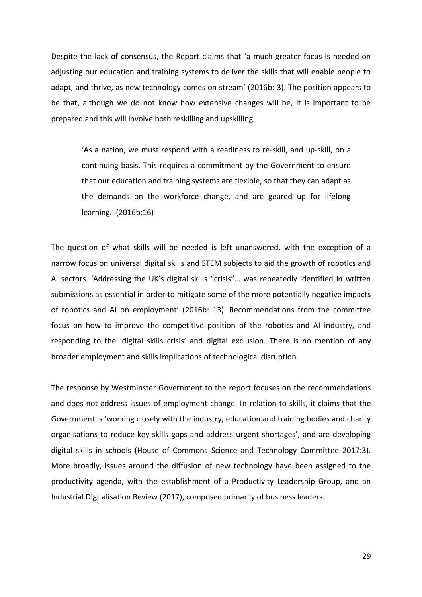Despite the lack of consensus, the Report claims that 'a much greater focus is needed on adjusting our education and training systems to deliver the skills that will enable people to adapt, and thrive, as new technology comes on stream' (2016b: 3). The position appears to be that, although we do not know how extensive changes will be, it is important to be prepared and this will involve both reskilling and upskilling.

'As a nation, we must respond with a readiness to re-skill, and up-skill, on a continuing basis. This requires a commitment by the Government to ensure that our education and training systems are flexible, so that they can adapt as the demands on the workforce change, and are geared up for lifelong learning.' (2016b:16)

The question of what skills will be needed is left unanswered, with the exception of a narrow focus on universal digital skills and STEM subjects to aid the growth of robotics and AI sectors. 'Addressing the UK's digital skills "crisis"… was repeatedly identified in written submissions as essential in order to mitigate some of the more potentially negative impacts of robotics and AI on employment' (2016b: 13). Recommendations from the committee focus on how to improve the competitive position of the robotics and AI industry, and responding to the 'digital skills crisis' and digital exclusion. There is no mention of any broader employment and skills implications of technological disruption.

The response by Westminster Government to the report focuses on the recommendations and does not address issues of employment change. In relation to skills, it claims that the Government is 'working closely with the industry, education and training bodies and charity organisations to reduce key skills gaps and address urgent shortages', and are developing digital skills in schools (House of Commons Science and Technology Committee 2017:3). More broadly, issues around the diffusion of new technology have been assigned to the productivity agenda, with the establishment of a Productivity Leadership Group, and an Industrial Digitalisation Review (2017), composed primarily of business leaders.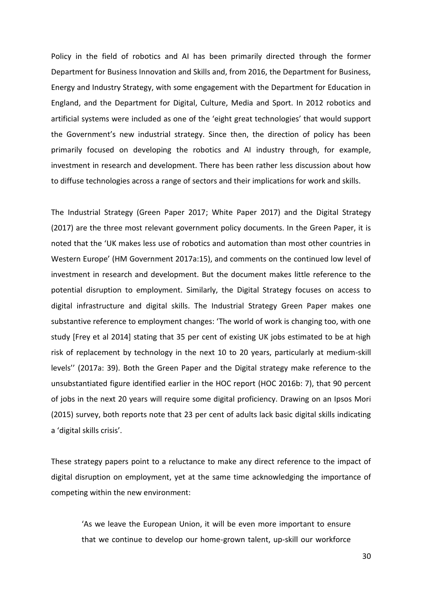Policy in the field of robotics and AI has been primarily directed through the former Department for Business Innovation and Skills and, from 2016, the Department for Business, Energy and Industry Strategy, with some engagement with the Department for Education in England, and the Department for Digital, Culture, Media and Sport. In 2012 robotics and artificial systems were included as one of the 'eight great technologies' that would support the Government's new industrial strategy. Since then, the direction of policy has been primarily focused on developing the robotics and AI industry through, for example, investment in research and development. There has been rather less discussion about how to diffuse technologies across a range of sectors and their implications for work and skills.

The Industrial Strategy (Green Paper 2017; White Paper 2017) and the Digital Strategy (2017) are the three most relevant government policy documents. In the Green Paper, it is noted that the 'UK makes less use of robotics and automation than most other countries in Western Europe' (HM Government 2017a:15), and comments on the continued low level of investment in research and development. But the document makes little reference to the potential disruption to employment. Similarly, the Digital Strategy focuses on access to digital infrastructure and digital skills. The Industrial Strategy Green Paper makes one substantive reference to employment changes: 'The world of work is changing too, with one study [Frey et al 2014] stating that 35 per cent of existing UK jobs estimated to be at high risk of replacement by technology in the next 10 to 20 years, particularly at medium-skill levels'' (2017a: 39). Both the Green Paper and the Digital strategy make reference to the unsubstantiated figure identified earlier in the HOC report (HOC 2016b: 7), that 90 percent of jobs in the next 20 years will require some digital proficiency. Drawing on an Ipsos Mori (2015) survey, both reports note that 23 per cent of adults lack basic digital skills indicating a 'digital skills crisis'.

These strategy papers point to a reluctance to make any direct reference to the impact of digital disruption on employment, yet at the same time acknowledging the importance of competing within the new environment:

'As we leave the European Union, it will be even more important to ensure that we continue to develop our home-grown talent, up-skill our workforce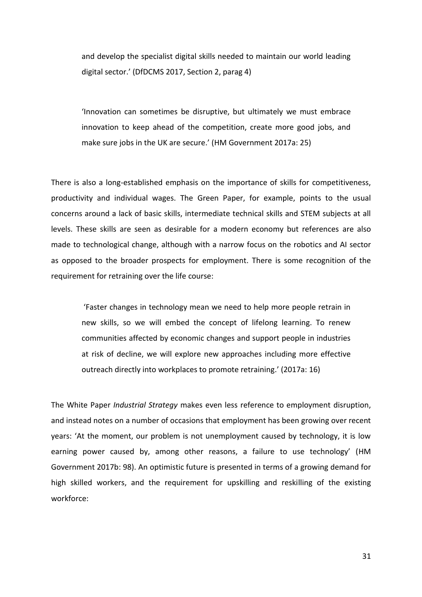and develop the specialist digital skills needed to maintain our world leading digital sector.' (DfDCMS 2017, Section 2, parag 4)

'Innovation can sometimes be disruptive, but ultimately we must embrace innovation to keep ahead of the competition, create more good jobs, and make sure jobs in the UK are secure.' (HM Government 2017a: 25)

There is also a long-established emphasis on the importance of skills for competitiveness, productivity and individual wages. The Green Paper, for example, points to the usual concerns around a lack of basic skills, intermediate technical skills and STEM subjects at all levels. These skills are seen as desirable for a modern economy but references are also made to technological change, although with a narrow focus on the robotics and AI sector as opposed to the broader prospects for employment. There is some recognition of the requirement for retraining over the life course:

'Faster changes in technology mean we need to help more people retrain in new skills, so we will embed the concept of lifelong learning. To renew communities affected by economic changes and support people in industries at risk of decline, we will explore new approaches including more effective outreach directly into workplaces to promote retraining.' (2017a: 16)

The White Paper *Industrial Strategy* makes even less reference to employment disruption, and instead notes on a number of occasions that employment has been growing over recent years: 'At the moment, our problem is not unemployment caused by technology, it is low earning power caused by, among other reasons, a failure to use technology' (HM Government 2017b: 98). An optimistic future is presented in terms of a growing demand for high skilled workers, and the requirement for upskilling and reskilling of the existing workforce: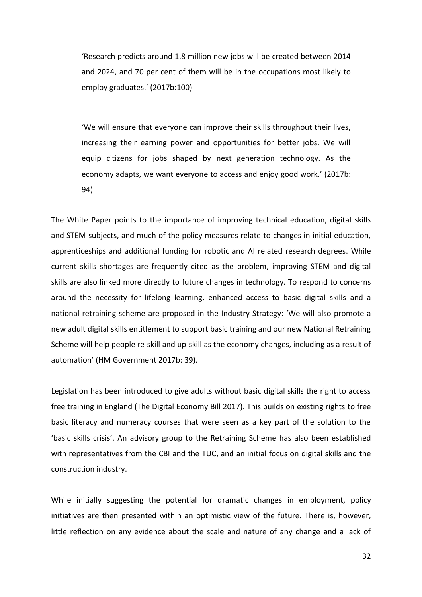'Research predicts around 1.8 million new jobs will be created between 2014 and 2024, and 70 per cent of them will be in the occupations most likely to employ graduates.' (2017b:100)

'We will ensure that everyone can improve their skills throughout their lives, increasing their earning power and opportunities for better jobs. We will equip citizens for jobs shaped by next generation technology. As the economy adapts, we want everyone to access and enjoy good work.' (2017b: 94)

The White Paper points to the importance of improving technical education, digital skills and STEM subjects, and much of the policy measures relate to changes in initial education, apprenticeships and additional funding for robotic and AI related research degrees. While current skills shortages are frequently cited as the problem, improving STEM and digital skills are also linked more directly to future changes in technology. To respond to concerns around the necessity for lifelong learning, enhanced access to basic digital skills and a national retraining scheme are proposed in the Industry Strategy: 'We will also promote a new adult digital skills entitlement to support basic training and our new National Retraining Scheme will help people re-skill and up-skill as the economy changes, including as a result of automation' (HM Government 2017b: 39).

Legislation has been introduced to give adults without basic digital skills the right to access free training in England (The Digital Economy Bill 2017). This builds on existing rights to free basic literacy and numeracy courses that were seen as a key part of the solution to the 'basic skills crisis'. An advisory group to the Retraining Scheme has also been established with representatives from the CBI and the TUC, and an initial focus on digital skills and the construction industry.

While initially suggesting the potential for dramatic changes in employment, policy initiatives are then presented within an optimistic view of the future. There is, however, little reflection on any evidence about the scale and nature of any change and a lack of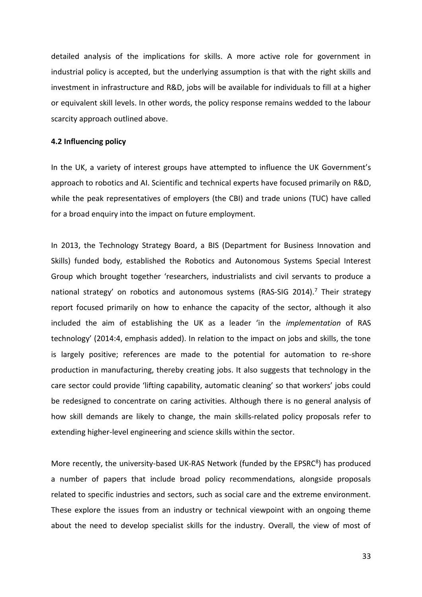detailed analysis of the implications for skills. A more active role for government in industrial policy is accepted, but the underlying assumption is that with the right skills and investment in infrastructure and R&D, jobs will be available for individuals to fill at a higher or equivalent skill levels. In other words, the policy response remains wedded to the labour scarcity approach outlined above.

#### **4.2 Influencing policy**

In the UK, a variety of interest groups have attempted to influence the UK Government's approach to robotics and AI. Scientific and technical experts have focused primarily on R&D, while the peak representatives of employers (the CBI) and trade unions (TUC) have called for a broad enquiry into the impact on future employment.

In 2013, the Technology Strategy Board, a BIS (Department for Business Innovation and Skills) funded body, established the Robotics and Autonomous Systems Special Interest Group which brought together 'researchers, industrialists and civil servants to produce a national strategy' on robotics and autonomous systems (RAS-SIG 2014).<sup>7</sup> Their strategy report focused primarily on how to enhance the capacity of the sector, although it also included the aim of establishing the UK as a leader 'in the *implementation* of RAS technology' (2014:4, emphasis added). In relation to the impact on jobs and skills, the tone is largely positive; references are made to the potential for automation to re-shore production in manufacturing, thereby creating jobs. It also suggests that technology in the care sector could provide 'lifting capability, automatic cleaning' so that workers' jobs could be redesigned to concentrate on caring activities. Although there is no general analysis of how skill demands are likely to change, the main skills-related policy proposals refer to extending higher-level engineering and science skills within the sector.

More recently, the university-based UK-RAS Network (funded by the EPSRC<sup>8</sup>) has produced a number of papers that include broad policy recommendations, alongside proposals related to specific industries and sectors, such as social care and the extreme environment. These explore the issues from an industry or technical viewpoint with an ongoing theme about the need to develop specialist skills for the industry. Overall, the view of most of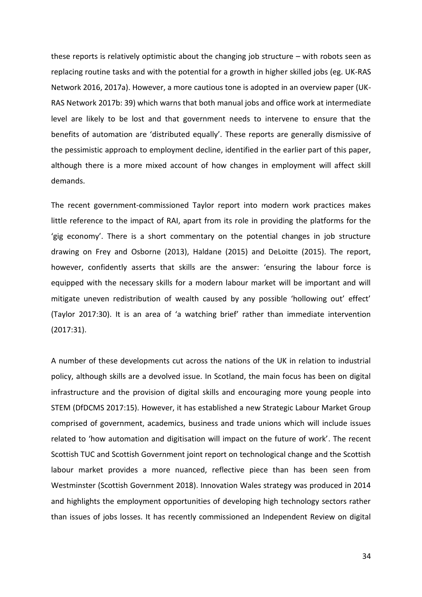these reports is relatively optimistic about the changing job structure – with robots seen as replacing routine tasks and with the potential for a growth in higher skilled jobs (eg. UK-RAS Network 2016, 2017a). However, a more cautious tone is adopted in an overview paper (UK-RAS Network 2017b: 39) which warns that both manual jobs and office work at intermediate level are likely to be lost and that government needs to intervene to ensure that the benefits of automation are 'distributed equally'. These reports are generally dismissive of the pessimistic approach to employment decline, identified in the earlier part of this paper, although there is a more mixed account of how changes in employment will affect skill demands.

The recent government-commissioned Taylor report into modern work practices makes little reference to the impact of RAI, apart from its role in providing the platforms for the 'gig economy'. There is a short commentary on the potential changes in job structure drawing on Frey and Osborne (2013), Haldane (2015) and DeLoitte (2015). The report, however, confidently asserts that skills are the answer: 'ensuring the labour force is equipped with the necessary skills for a modern labour market will be important and will mitigate uneven redistribution of wealth caused by any possible 'hollowing out' effect' (Taylor 2017:30). It is an area of 'a watching brief' rather than immediate intervention (2017:31).

A number of these developments cut across the nations of the UK in relation to industrial policy, although skills are a devolved issue. In Scotland, the main focus has been on digital infrastructure and the provision of digital skills and encouraging more young people into STEM (DfDCMS 2017:15). However, it has established a new Strategic Labour Market Group comprised of government, academics, business and trade unions which will include issues related to 'how automation and digitisation will impact on the future of work'. The recent Scottish TUC and Scottish Government joint report on technological change and the Scottish labour market provides a more nuanced, reflective piece than has been seen from Westminster (Scottish Government 2018). Innovation Wales strategy was produced in 2014 and highlights the employment opportunities of developing high technology sectors rather than issues of jobs losses. It has recently commissioned an Independent Review on digital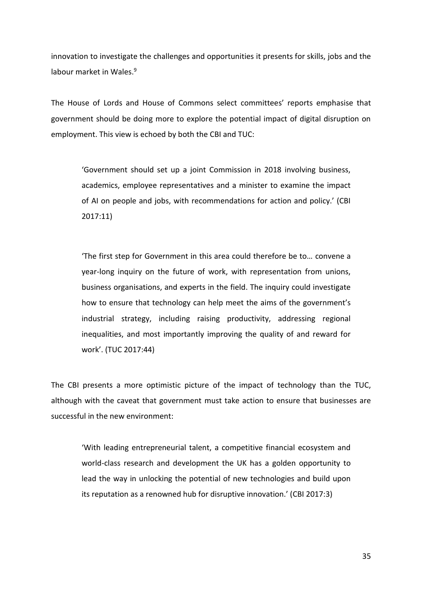innovation to investigate the challenges and opportunities it presents for skills, jobs and the labour market in Wales.<sup>9</sup>

The House of Lords and House of Commons select committees' reports emphasise that government should be doing more to explore the potential impact of digital disruption on employment. This view is echoed by both the CBI and TUC:

'Government should set up a joint Commission in 2018 involving business, academics, employee representatives and a minister to examine the impact of AI on people and jobs, with recommendations for action and policy.' (CBI 2017:11)

'The first step for Government in this area could therefore be to… convene a year-long inquiry on the future of work, with representation from unions, business organisations, and experts in the field. The inquiry could investigate how to ensure that technology can help meet the aims of the government's industrial strategy, including raising productivity, addressing regional inequalities, and most importantly improving the quality of and reward for work'. (TUC 2017:44)

The CBI presents a more optimistic picture of the impact of technology than the TUC, although with the caveat that government must take action to ensure that businesses are successful in the new environment:

'With leading entrepreneurial talent, a competitive financial ecosystem and world-class research and development the UK has a golden opportunity to lead the way in unlocking the potential of new technologies and build upon its reputation as a renowned hub for disruptive innovation.' (CBI 2017:3)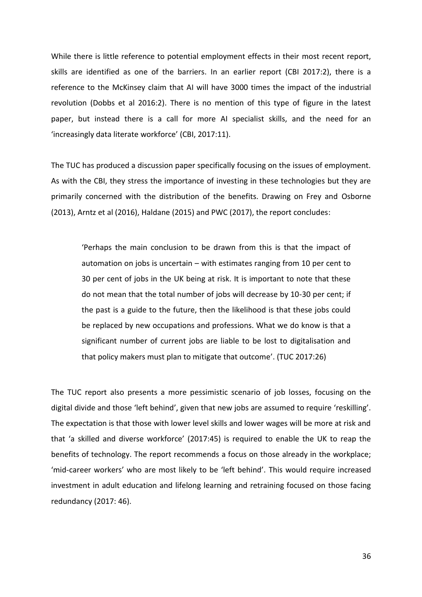While there is little reference to potential employment effects in their most recent report, skills are identified as one of the barriers. In an earlier report (CBI 2017:2), there is a reference to the McKinsey claim that AI will have 3000 times the impact of the industrial revolution (Dobbs et al 2016:2). There is no mention of this type of figure in the latest paper, but instead there is a call for more AI specialist skills, and the need for an 'increasingly data literate workforce' (CBI, 2017:11).

The TUC has produced a discussion paper specifically focusing on the issues of employment. As with the CBI, they stress the importance of investing in these technologies but they are primarily concerned with the distribution of the benefits. Drawing on Frey and Osborne (2013), Arntz et al (2016), Haldane (2015) and PWC (2017), the report concludes:

'Perhaps the main conclusion to be drawn from this is that the impact of automation on jobs is uncertain – with estimates ranging from 10 per cent to 30 per cent of jobs in the UK being at risk. It is important to note that these do not mean that the total number of jobs will decrease by 10-30 per cent; if the past is a guide to the future, then the likelihood is that these jobs could be replaced by new occupations and professions. What we do know is that a significant number of current jobs are liable to be lost to digitalisation and that policy makers must plan to mitigate that outcome'. (TUC 2017:26)

The TUC report also presents a more pessimistic scenario of job losses, focusing on the digital divide and those 'left behind', given that new jobs are assumed to require 'reskilling'. The expectation is that those with lower level skills and lower wages will be more at risk and that 'a skilled and diverse workforce' (2017:45) is required to enable the UK to reap the benefits of technology. The report recommends a focus on those already in the workplace; 'mid-career workers' who are most likely to be 'left behind'. This would require increased investment in adult education and lifelong learning and retraining focused on those facing redundancy (2017: 46).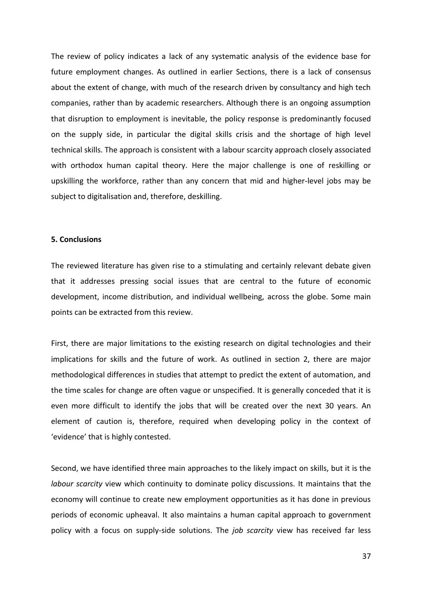The review of policy indicates a lack of any systematic analysis of the evidence base for future employment changes. As outlined in earlier Sections, there is a lack of consensus about the extent of change, with much of the research driven by consultancy and high tech companies, rather than by academic researchers. Although there is an ongoing assumption that disruption to employment is inevitable, the policy response is predominantly focused on the supply side, in particular the digital skills crisis and the shortage of high level technical skills. The approach is consistent with a labour scarcity approach closely associated with orthodox human capital theory. Here the major challenge is one of reskilling or upskilling the workforce, rather than any concern that mid and higher-level jobs may be subject to digitalisation and, therefore, deskilling.

# **5. Conclusions**

The reviewed literature has given rise to a stimulating and certainly relevant debate given that it addresses pressing social issues that are central to the future of economic development, income distribution, and individual wellbeing, across the globe. Some main points can be extracted from this review.

First, there are major limitations to the existing research on digital technologies and their implications for skills and the future of work. As outlined in section 2, there are major methodological differences in studies that attempt to predict the extent of automation, and the time scales for change are often vague or unspecified. It is generally conceded that it is even more difficult to identify the jobs that will be created over the next 30 years. An element of caution is, therefore, required when developing policy in the context of 'evidence' that is highly contested.

Second, we have identified three main approaches to the likely impact on skills, but it is the *labour scarcity* view which continuity to dominate policy discussions. It maintains that the economy will continue to create new employment opportunities as it has done in previous periods of economic upheaval. It also maintains a human capital approach to government policy with a focus on supply-side solutions. The *job scarcity* view has received far less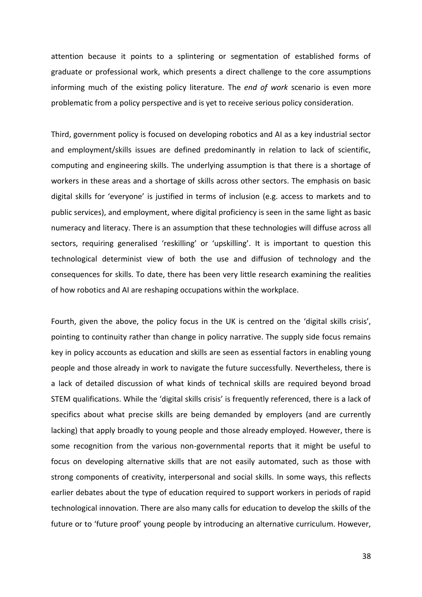attention because it points to a splintering or segmentation of established forms of graduate or professional work, which presents a direct challenge to the core assumptions informing much of the existing policy literature. The *end of work* scenario is even more problematic from a policy perspective and is yet to receive serious policy consideration.

Third, government policy is focused on developing robotics and AI as a key industrial sector and employment/skills issues are defined predominantly in relation to lack of scientific, computing and engineering skills. The underlying assumption is that there is a shortage of workers in these areas and a shortage of skills across other sectors. The emphasis on basic digital skills for 'everyone' is justified in terms of inclusion (e.g. access to markets and to public services), and employment, where digital proficiency is seen in the same light as basic numeracy and literacy. There is an assumption that these technologies will diffuse across all sectors, requiring generalised 'reskilling' or 'upskilling'. It is important to question this technological determinist view of both the use and diffusion of technology and the consequences for skills. To date, there has been very little research examining the realities of how robotics and AI are reshaping occupations within the workplace.

Fourth, given the above, the policy focus in the UK is centred on the 'digital skills crisis', pointing to continuity rather than change in policy narrative. The supply side focus remains key in policy accounts as education and skills are seen as essential factors in enabling young people and those already in work to navigate the future successfully. Nevertheless, there is a lack of detailed discussion of what kinds of technical skills are required beyond broad STEM qualifications. While the 'digital skills crisis' is frequently referenced, there is a lack of specifics about what precise skills are being demanded by employers (and are currently lacking) that apply broadly to young people and those already employed. However, there is some recognition from the various non-governmental reports that it might be useful to focus on developing alternative skills that are not easily automated, such as those with strong components of creativity, interpersonal and social skills. In some ways, this reflects earlier debates about the type of education required to support workers in periods of rapid technological innovation. There are also many calls for education to develop the skills of the future or to 'future proof' young people by introducing an alternative curriculum. However,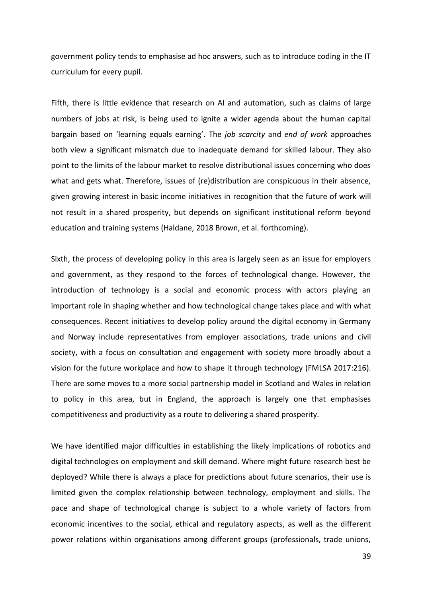government policy tends to emphasise ad hoc answers, such as to introduce coding in the IT curriculum for every pupil.

Fifth, there is little evidence that research on AI and automation, such as claims of large numbers of jobs at risk, is being used to ignite a wider agenda about the human capital bargain based on 'learning equals earning'. The *job scarcity* and *end of work* approaches both view a significant mismatch due to inadequate demand for skilled labour. They also point to the limits of the labour market to resolve distributional issues concerning who does what and gets what. Therefore, issues of (re)distribution are conspicuous in their absence, given growing interest in basic income initiatives in recognition that the future of work will not result in a shared prosperity, but depends on significant institutional reform beyond education and training systems (Haldane, 2018 Brown, et al. forthcoming).

Sixth, the process of developing policy in this area is largely seen as an issue for employers and government, as they respond to the forces of technological change. However, the introduction of technology is a social and economic process with actors playing an important role in shaping whether and how technological change takes place and with what consequences. Recent initiatives to develop policy around the digital economy in Germany and Norway include representatives from employer associations, trade unions and civil society, with a focus on consultation and engagement with society more broadly about a vision for the future workplace and how to shape it through technology (FMLSA 2017:216). There are some moves to a more social partnership model in Scotland and Wales in relation to policy in this area, but in England, the approach is largely one that emphasises competitiveness and productivity as a route to delivering a shared prosperity.

We have identified major difficulties in establishing the likely implications of robotics and digital technologies on employment and skill demand. Where might future research best be deployed? While there is always a place for predictions about future scenarios, their use is limited given the complex relationship between technology, employment and skills. The pace and shape of technological change is subject to a whole variety of factors from economic incentives to the social, ethical and regulatory aspects, as well as the different power relations within organisations among different groups (professionals, trade unions,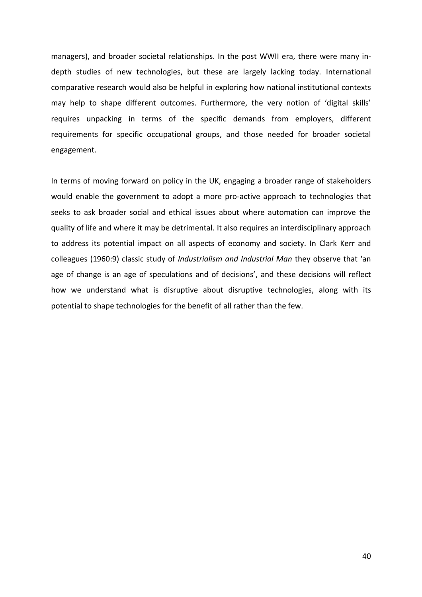managers), and broader societal relationships. In the post WWII era, there were many indepth studies of new technologies, but these are largely lacking today. International comparative research would also be helpful in exploring how national institutional contexts may help to shape different outcomes. Furthermore, the very notion of 'digital skills' requires unpacking in terms of the specific demands from employers, different requirements for specific occupational groups, and those needed for broader societal engagement.

In terms of moving forward on policy in the UK, engaging a broader range of stakeholders would enable the government to adopt a more pro-active approach to technologies that seeks to ask broader social and ethical issues about where automation can improve the quality of life and where it may be detrimental. It also requires an interdisciplinary approach to address its potential impact on all aspects of economy and society. In Clark Kerr and colleagues (1960:9) classic study of *Industrialism and Industrial Man* they observe that 'an age of change is an age of speculations and of decisions', and these decisions will reflect how we understand what is disruptive about disruptive technologies, along with its potential to shape technologies for the benefit of all rather than the few.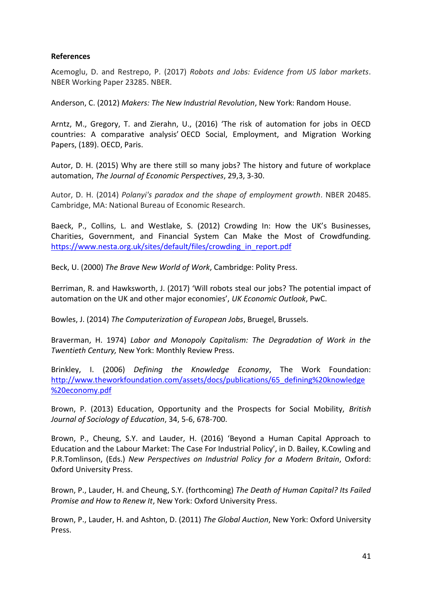# **References**

Acemoglu, D. and Restrepo, P. (2017) *Robots and Jobs: Evidence from US labor markets*. NBER Working Paper 23285. NBER.

Anderson, C. (2012) *Makers: The New Industrial Revolution*, New York: Random House.

Arntz, M., Gregory, T. and Zierahn, U., (2016) 'The risk of automation for jobs in OECD countries: A comparative analysis' OECD Social, Employment, and Migration Working Papers, (189). OECD, Paris.

Autor, D. H. (2015) Why are there still so many jobs? The history and future of workplace automation, *The Journal of Economic Perspectives*, 29,3, 3-30.

Autor, D. H. (2014) *Polanyi's paradox and the shape of employment growth*. NBER 20485. Cambridge, MA: National Bureau of Economic Research.

Baeck, P., Collins, L. and Westlake, S. (2012) Crowding In: How the UK's Businesses, Charities, Government, and Financial System Can Make the Most of Crowdfunding. [https://www.nesta.org.uk/sites/default/files/crowding\\_in\\_report.pdf](https://www.nesta.org.uk/sites/default/files/crowding_in_report.pdf)

Beck, U. (2000) *The Brave New World of Work*, Cambridge: Polity Press.

Berriman, R. and Hawksworth, J. (2017) 'Will robots steal our jobs? The potential impact of automation on the UK and other major economies', *UK Economic Outlook*, PwC.

Bowles, J. (2014) *The Computerization of European Jobs*, Bruegel, Brussels.

Braverman, H. 1974) *Labor and Monopoly Capitalism: The Degradation of Work in the Twentieth Century,* New York: Monthly Review Press.

Brinkley, I. (2006) *Defining the Knowledge Economy*, The Work Foundation: [http://www.theworkfoundation.com/assets/docs/publications/65\\_defining%20knowledge](http://www.theworkfoundation.com/assets/docs/publications/65_defining%20knowledge%20economy.pdf) [%20economy.pdf](http://www.theworkfoundation.com/assets/docs/publications/65_defining%20knowledge%20economy.pdf)

Brown, P. (2013) Education, Opportunity and the Prospects for Social Mobility, *British Journal of Sociology of Education*, 34, 5-6, 678-700.

Brown, P., Cheung, S.Y. and Lauder, H. (2016) 'Beyond a Human Capital Approach to Education and the Labour Market: The Case For Industrial Policy', in D. Bailey, K.Cowling and P.R.Tomlinson, (Eds.) *New Perspectives on Industrial Policy for a Modern Britain*, Oxford: 0xford University Press.

Brown, P., Lauder, H. and Cheung, S.Y. (forthcoming) *The Death of Human Capital? Its Failed Promise and How to Renew It*, New York: Oxford University Press.

Brown, P., Lauder, H. and Ashton, D. (2011) *The Global Auction*, New York: Oxford University Press.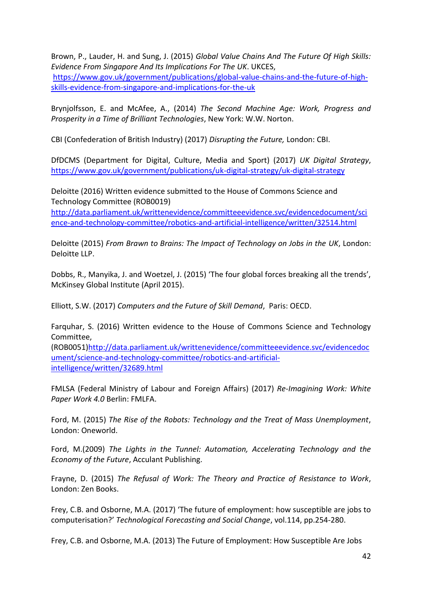Brown, P., Lauder, H. and Sung, J. (2015) *Global Value Chains And The Future Of High Skills: Evidence From Singapore And Its Implications For The UK*. UKCES, [https://www.gov.uk/government/publications/global-value-chains-and-the-future-of-high](https://www.gov.uk/government/publications/global-value-chains-and-the-future-of-high-skills-evidence-from-singapore-and-implications-for-the-uk)[skills-evidence-from-singapore-and-implications-for-the-uk](https://www.gov.uk/government/publications/global-value-chains-and-the-future-of-high-skills-evidence-from-singapore-and-implications-for-the-uk)

Brynjolfsson, E. and McAfee, A., (2014) *The Second Machine Age: Work, Progress and Prosperity in a Time of Brilliant Technologies*, New York: W.W. Norton.

CBI (Confederation of British Industry) (2017) *Disrupting the Future,* London: CBI.

DfDCMS (Department for Digital, Culture, Media and Sport) (2017) *UK Digital Strategy*, <https://www.gov.uk/government/publications/uk-digital-strategy/uk-digital-strategy>

Deloitte (2016) Written evidence submitted to the House of Commons Science and Technology Committee (ROB0019)

[http://data.parliament.uk/writtenevidence/committeeevidence.svc/evidencedocument/sci](http://data.parliament.uk/writtenevidence/committeeevidence.svc/evidencedocument/science-and-technology-committee/robotics-and-artificial-intelligence/written/32514.html) [ence-and-technology-committee/robotics-and-artificial-intelligence/written/32514.html](http://data.parliament.uk/writtenevidence/committeeevidence.svc/evidencedocument/science-and-technology-committee/robotics-and-artificial-intelligence/written/32514.html)

Deloitte (2015) *From Brawn to Brains: The Impact of Technology on Jobs in the UK*, London: Deloitte LLP.

Dobbs, R., Manyika, J. and Woetzel, J. (2015) 'The four global forces breaking all the trends', McKinsey Global Institute (April 2015).

Elliott, S.W. (2017) *Computers and the Future of Skill Demand*, Paris: OECD.

Farquhar, S. (2016) Written evidence to the House of Commons Science and Technology Committee,

(ROB0051[\)http://data.parliament.uk/writtenevidence/committeeevidence.svc/evidencedoc](http://data.parliament.uk/writtenevidence/committeeevidence.svc/evidencedocument/science-and-technology-committee/robotics-and-artificial-intelligence/written/32689.html) [ument/science-and-technology-committee/robotics-and-artificial](http://data.parliament.uk/writtenevidence/committeeevidence.svc/evidencedocument/science-and-technology-committee/robotics-and-artificial-intelligence/written/32689.html)[intelligence/written/32689.html](http://data.parliament.uk/writtenevidence/committeeevidence.svc/evidencedocument/science-and-technology-committee/robotics-and-artificial-intelligence/written/32689.html)

FMLSA (Federal Ministry of Labour and Foreign Affairs) (2017) *Re-Imagining Work: White Paper Work 4.0* Berlin: FMLFA.

Ford, M. (2015) *The Rise of the Robots: Technology and the Treat of Mass Unemployment*, London: Oneworld.

Ford, M.(2009) *The Lights in the Tunnel: Automation, Accelerating Technology and the Economy of the Future*, Acculant Publishing.

Frayne, D. (2015) *The Refusal of Work: The Theory and Practice of Resistance to Work*, London: Zen Books.

Frey, C.B. and Osborne, M.A. (2017) 'The future of employment: how susceptible are jobs to computerisation?' *Technological Forecasting and Social Change*, vol.114, pp.254-280.

Frey, C.B. and Osborne, M.A. (2013) The Future of Employment: How Susceptible Are Jobs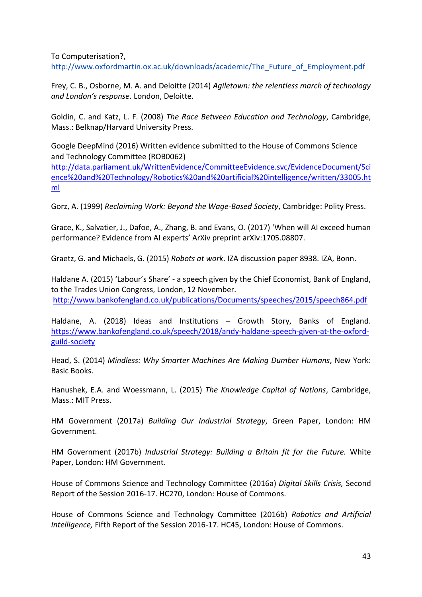To Computerisation?,

http://www.oxfordmartin.ox.ac.uk/downloads/academic/The\_Future\_of\_Employment.pdf

Frey, C. B., Osborne, M. A. and Deloitte (2014) *Agiletown: the relentless march of technology and London's response*. London, Deloitte.

Goldin, C. and Katz, L. F. (2008) *The Race Between Education and Technology*, Cambridge, Mass.: Belknap/Harvard University Press.

Google DeepMind (2016) Written evidence submitted to the House of Commons Science and Technology Committee (ROB0062)

[http://data.parliament.uk/WrittenEvidence/CommitteeEvidence.svc/EvidenceDocument/Sci](http://data.parliament.uk/WrittenEvidence/CommitteeEvidence.svc/EvidenceDocument/Science%20and%20Technology/Robotics%20and%20artificial%20intelligence/written/33005.html) [ence%20and%20Technology/Robotics%20and%20artificial%20intelligence/written/33005.ht](http://data.parliament.uk/WrittenEvidence/CommitteeEvidence.svc/EvidenceDocument/Science%20and%20Technology/Robotics%20and%20artificial%20intelligence/written/33005.html) [ml](http://data.parliament.uk/WrittenEvidence/CommitteeEvidence.svc/EvidenceDocument/Science%20and%20Technology/Robotics%20and%20artificial%20intelligence/written/33005.html)

Gorz, A. (1999) *Reclaiming Work: Beyond the Wage-Based Society*, Cambridge: Polity Press.

Grace, K., Salvatier, J., Dafoe, A., Zhang, B. and Evans, O. (2017) 'When will AI exceed human performance? Evidence from AI experts' ArXiv preprint arXiv:1705.08807.

Graetz, G. and Michaels, G. (2015) *Robots at work*. IZA discussion paper 8938. IZA, Bonn.

Haldane A. (2015) 'Labour's Share' - a speech given by the Chief Economist, Bank of England, to the Trades Union Congress, London, 12 November. <http://www.bankofengland.co.uk/publications/Documents/speeches/2015/speech864.pdf>

Haldane, A. (2018) Ideas and Institutions – Growth Story, Banks of England. [https://www.bankofengland.co.uk/speech/2018/andy-haldane-speech-given-at-the-oxford](https://www.bankofengland.co.uk/speech/2018/andy-haldane-speech-given-at-the-oxford-guild-society)[guild-society](https://www.bankofengland.co.uk/speech/2018/andy-haldane-speech-given-at-the-oxford-guild-society)

Head, S. (2014) *Mindless: Why Smarter Machines Are Making Dumber Humans*, New York: Basic Books.

Hanushek, E.A. and Woessmann, L. (2015) *The Knowledge Capital of Nations*, Cambridge, Mass.: MIT Press.

HM Government (2017a) *Building Our Industrial Strategy*, Green Paper, London: HM Government.

HM Government (2017b) *Industrial Strategy: Building a Britain fit for the Future.* White Paper, London: HM Government.

House of Commons Science and Technology Committee (2016a) *Digital Skills Crisis,* Second Report of the Session 2016-17. HC270, London: House of Commons.

House of Commons Science and Technology Committee (2016b) *Robotics and Artificial Intelligence,* Fifth Report of the Session 2016-17. HC45, London: House of Commons.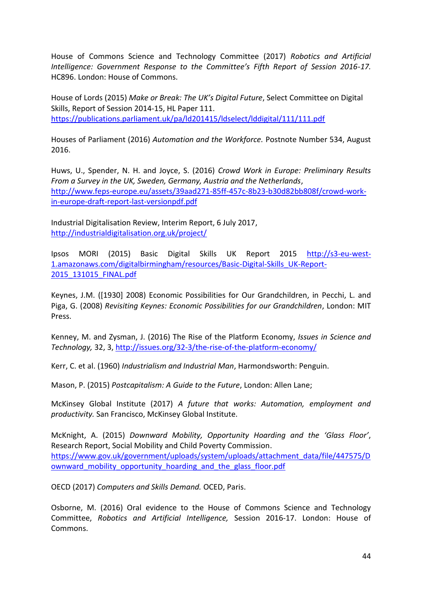House of Commons Science and Technology Committee (2017) *Robotics and Artificial Intelligence: Government Response to the Committee's Fifth Report of Session 2016-17.* HC896. London: House of Commons.

House of Lords (2015) *Make or Break: The UK's Digital Future*, Select Committee on Digital Skills, Report of Session 2014-15, HL Paper 111. <https://publications.parliament.uk/pa/ld201415/ldselect/lddigital/111/111.pdf>

Houses of Parliament (2016) *Automation and the Workforce.* Postnote Number 534, August 2016.

Huws, U., Spender, N. H. and Joyce, S. (2016) *Crowd Work in Europe: Preliminary Results From a Survey in the UK, Sweden, Germany, Austria and the Netherlands*, [http://www.feps-europe.eu/assets/39aad271-85ff-457c-8b23-b30d82bb808f/crowd-work](http://www.feps-europe.eu/assets/39aad271-85ff-457c-8b23-b30d82bb808f/crowd-work-in-europe-draft-report-last-versionpdf.pdf)[in-europe-draft-report-last-versionpdf.pdf](http://www.feps-europe.eu/assets/39aad271-85ff-457c-8b23-b30d82bb808f/crowd-work-in-europe-draft-report-last-versionpdf.pdf)

Industrial Digitalisation Review, Interim Report, 6 July 2017, <http://industrialdigitalisation.org.uk/project/>

Ipsos MORI (2015) Basic Digital Skills UK Report 2015 [http://s3-eu-west-](http://s3-eu-west-1.amazonaws.com/digitalbirmingham/resources/Basic-Digital-Skills_UK-Report-2015_131015_FINAL.pdf)[1.amazonaws.com/digitalbirmingham/resources/Basic-Digital-Skills\\_UK-Report-](http://s3-eu-west-1.amazonaws.com/digitalbirmingham/resources/Basic-Digital-Skills_UK-Report-2015_131015_FINAL.pdf)[2015\\_131015\\_FINAL.pdf](http://s3-eu-west-1.amazonaws.com/digitalbirmingham/resources/Basic-Digital-Skills_UK-Report-2015_131015_FINAL.pdf)

Keynes, J.M. ([1930] 2008) Economic Possibilities for Our Grandchildren, in Pecchi, L. and Piga, G. (2008) *Revisiting Keynes: Economic Possibilities for our Grandchildren*, London: MIT Press.

Kenney, M. and Zysman, J. (2016) The Rise of the Platform Economy, *Issues in Science and Technology,* 32, 3,<http://issues.org/32-3/the-rise-of-the-platform-economy/>

Kerr, C. et al. (1960) *Industrialism and Industrial Man*, Harmondsworth: Penguin.

Mason, P. (2015) *Postcapitalism: A Guide to the Future*, London: Allen Lane;

McKinsey Global Institute (2017) *A future that works: Automation, employment and productivity.* San Francisco, McKinsey Global Institute.

McKnight, A. (2015) *Downward Mobility, Opportunity Hoarding and the 'Glass Floor'*, Research Report, Social Mobility and Child Poverty Commission. [https://www.gov.uk/government/uploads/system/uploads/attachment\\_data/file/447575/D](https://www.gov.uk/government/uploads/system/uploads/attachment_data/file/447575/Downward_mobility_opportunity_hoarding_and_the_glass_floor.pdf) ownward mobility opportunity hoarding and the glass floor.pdf

OECD (2017) *Computers and Skills Demand.* OCED, Paris.

Osborne, M. (2016) Oral evidence to the House of Commons Science and Technology Committee, *Robotics and Artificial Intelligence,* Session 2016-17. London: House of Commons.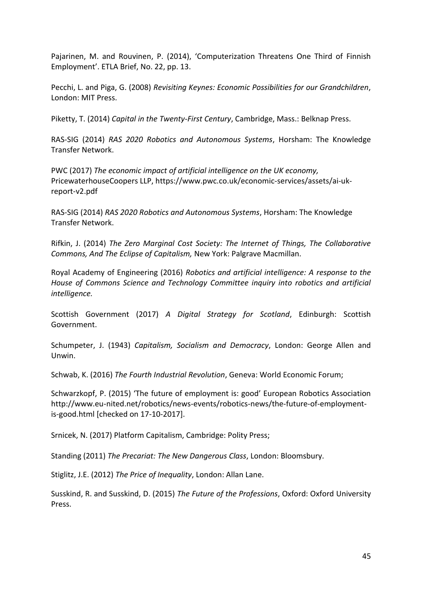Pajarinen, M. and Rouvinen, P. (2014), 'Computerization Threatens One Third of Finnish Employment'. ETLA Brief, No. 22, pp. 13.

Pecchi, L. and Piga, G. (2008) *Revisiting Keynes: Economic Possibilities for our Grandchildren*, London: MIT Press.

Piketty, T. (2014) *Capital in the Twenty-First Century*, Cambridge, Mass.: Belknap Press.

RAS-SIG (2014) *RAS 2020 Robotics and Autonomous Systems*, Horsham: The Knowledge Transfer Network.

PWC (2017) *The economic impact of artificial intelligence on the UK economy,* PricewaterhouseCoopers LLP, https://www.pwc.co.uk/economic-services/assets/ai-ukreport-v2.pdf

RAS-SIG (2014) *RAS 2020 Robotics and Autonomous Systems*, Horsham: The Knowledge Transfer Network.

Rifkin, J. (2014) *The Zero Marginal Cost Society: The Internet of Things, The Collaborative Commons, And The Eclipse of Capitalism,* New York: Palgrave Macmillan.

Royal Academy of Engineering (2016) *Robotics and artificial intelligence: A response to the House of Commons Science and Technology Committee inquiry into robotics and artificial intelligence.*

Scottish Government (2017) *A Digital Strategy for Scotland*, Edinburgh: Scottish Government.

Schumpeter, J. (1943) *Capitalism, Socialism and Democracy*, London: George Allen and Unwin.

Schwab, K. (2016) *The Fourth Industrial Revolution*, Geneva: World Economic Forum;

Schwarzkopf, P. (2015) 'The future of employment is: good' European Robotics Association [http://www.eu-nited.net/robotics/news-events/robotics-news/the-future-of-employment](http://www.eu-nited.net/robotics/news-events/robotics-news/the-future-of-employment-is-good.html)[is-good.html](http://www.eu-nited.net/robotics/news-events/robotics-news/the-future-of-employment-is-good.html) [checked on 17-10-2017].

Srnicek, N. (2017) Platform Capitalism, Cambridge: Polity Press;

Standing (2011) *The Precariat: The New Dangerous Class*, London: Bloomsbury.

Stiglitz, J.E. (2012) *The Price of Inequality*, London: Allan Lane.

Susskind, R. and Susskind, D. (2015) *The Future of the Professions*, Oxford: Oxford University Press.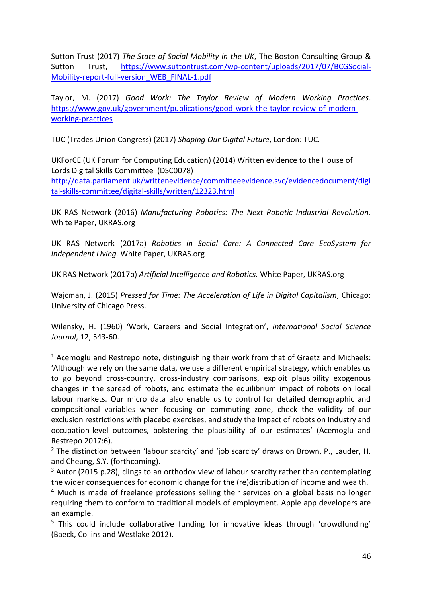Sutton Trust (2017) *The State of Social Mobility in the UK*, The Boston Consulting Group & Sutton Trust, [https://www.suttontrust.com/wp-content/uploads/2017/07/BCGSocial-](https://www.suttontrust.com/wp-content/uploads/2017/07/BCGSocial-Mobility-report-full-version_WEB_FINAL-1.pdf)[Mobility-report-full-version\\_WEB\\_FINAL-1.pdf](https://www.suttontrust.com/wp-content/uploads/2017/07/BCGSocial-Mobility-report-full-version_WEB_FINAL-1.pdf)

Taylor, M. (2017) *Good Work: The Taylor Review of Modern Working Practices*. [https://www.gov.uk/government/publications/good-work-the-taylor-review-of-modern](https://www.gov.uk/government/publications/good-work-the-taylor-review-of-modern-working-practices)[working-practices](https://www.gov.uk/government/publications/good-work-the-taylor-review-of-modern-working-practices)

TUC (Trades Union Congress) (2017) *Shaping Our Digital Future*, London: TUC.

UKForCE (UK Forum for Computing Education) (2014) Written evidence to the House of Lords Digital Skills Committee (DSC0078)

[http://data.parliament.uk/writtenevidence/committeeevidence.svc/evidencedocument/digi](http://data.parliament.uk/writtenevidence/committeeevidence.svc/evidencedocument/digital-skills-committee/digital-skills/written/12323.html) [tal-skills-committee/digital-skills/written/12323.html](http://data.parliament.uk/writtenevidence/committeeevidence.svc/evidencedocument/digital-skills-committee/digital-skills/written/12323.html)

UK RAS Network (2016) *Manufacturing Robotics: The Next Robotic Industrial Revolution.* White Paper, UKRAS.org

UK RAS Network (2017a) *Robotics in Social Care: A Connected Care EcoSystem for Independent Living.* White Paper, UKRAS.org

UK RAS Network (2017b) *Artificial Intelligence and Robotics.* White Paper, UKRAS.org

l

Wajcman, J. (2015) *Pressed for Time: The Acceleration of Life in Digital Capitalism*, Chicago: University of Chicago Press.

Wilensky, H. (1960) 'Work, Careers and Social Integration', *International Social Science Journal*, 12, 543-60.

<sup>&</sup>lt;sup>1</sup> Acemoglu and Restrepo note, distinguishing their work from that of Graetz and Michaels: 'Although we rely on the same data, we use a different empirical strategy, which enables us to go beyond cross-country, cross-industry comparisons, exploit plausibility exogenous changes in the spread of robots, and estimate the equilibrium impact of robots on local labour markets. Our micro data also enable us to control for detailed demographic and compositional variables when focusing on commuting zone, check the validity of our exclusion restrictions with placebo exercises, and study the impact of robots on industry and occupation-level outcomes, bolstering the plausibility of our estimates' (Acemoglu and Restrepo 2017:6).

<sup>&</sup>lt;sup>2</sup> The distinction between 'labour scarcity' and 'job scarcity' draws on Brown, P., Lauder, H. and Cheung, S.Y. (forthcoming).

 $3$  Autor (2015 p.28), clings to an orthodox view of labour scarcity rather than contemplating the wider consequences for economic change for the (re)distribution of income and wealth.

<sup>&</sup>lt;sup>4</sup> Much is made of freelance professions selling their services on a global basis no longer requiring them to conform to traditional models of employment. Apple app developers are an example.

<sup>&</sup>lt;sup>5</sup> This could include collaborative funding for innovative ideas through 'crowdfunding' (Baeck, Collins and Westlake 2012).